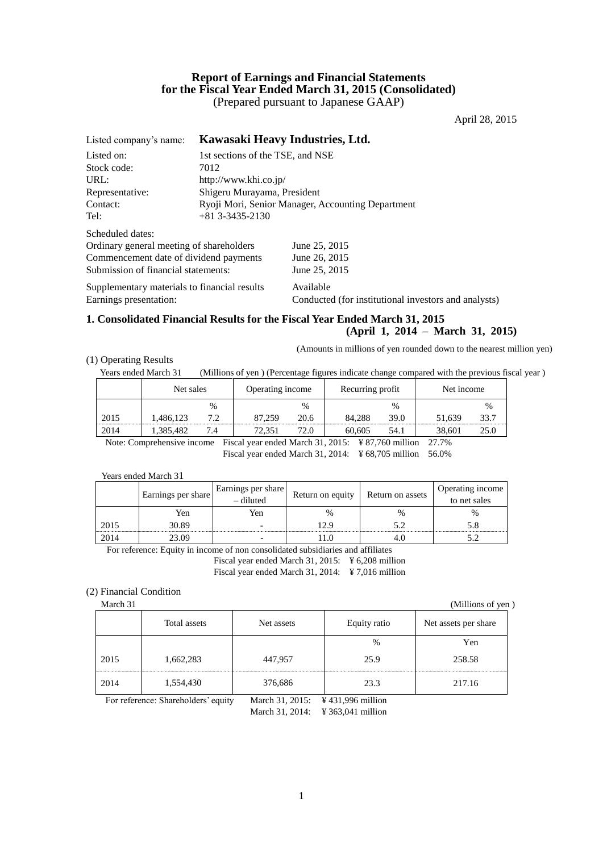# **Report of Earnings and Financial Statements for the Fiscal Year Ended March 31, 2015 (Consolidated)** (Prepared pursuant to Japanese GAAP)

April 28, 2015

| Listed company's name:                                                 |                                                   | Kawasaki Heavy Industries, Ltd.                                   |  |  |  |
|------------------------------------------------------------------------|---------------------------------------------------|-------------------------------------------------------------------|--|--|--|
| Listed on:                                                             | 1st sections of the TSE, and NSE                  |                                                                   |  |  |  |
| Stock code:                                                            | 7012                                              |                                                                   |  |  |  |
| URL:                                                                   | http://www.khi.co.jp/                             |                                                                   |  |  |  |
| Representative:                                                        | Shigeru Murayama, President                       |                                                                   |  |  |  |
| Contact:                                                               | Ryoji Mori, Senior Manager, Accounting Department |                                                                   |  |  |  |
| Tel:                                                                   | $+81$ 3-3435-2130                                 |                                                                   |  |  |  |
| Scheduled dates:                                                       |                                                   |                                                                   |  |  |  |
| Ordinary general meeting of shareholders                               |                                                   | June 25, 2015                                                     |  |  |  |
| Commencement date of dividend payments                                 |                                                   | June 26, 2015                                                     |  |  |  |
| Submission of financial statements:                                    |                                                   | June 25, 2015                                                     |  |  |  |
| Supplementary materials to financial results<br>Earnings presentation: |                                                   | Available<br>Conducted (for institutional investors and analysts) |  |  |  |
|                                                                        |                                                   |                                                                   |  |  |  |

# **1. Consolidated Financial Results for the Fiscal Year Ended March 31, 2015**

**(April 1, 2014 – March 31, 2015)** (Amounts in millions of yen rounded down to the nearest million yen)

(1) Operating Results

Years ended March 31 (Millions of yen ) (Percentage figures indicate change compared with the previous fiscal year )

|      | Net sales |      | Operating income |      | Recurring profit |      | Net income |      |
|------|-----------|------|------------------|------|------------------|------|------------|------|
|      |           | $\%$ |                  | $\%$ |                  | %    |            | %    |
| 2015 | .486,123  | 7.2  | 87,259           | 20.6 | 84,288           | 39.0 | 51.639     | 33.7 |
| 2014 | 1.385.482 | 7.4  | 72.351           | 72.0 | 60.605           | 54.1 | 38.601     | 25.0 |

Note: Comprehensive income Fiscal year ended March 31, 2015: ¥ 87,760 million 27.7% Fiscal year ended March 31, 2014: ¥ 68,705 million 56.0%

Years ended March 31

|      | Earnings per share | Earnings per share<br>$-$ diluted | Return on equity | Return on assets | Operating income<br>to net sales |
|------|--------------------|-----------------------------------|------------------|------------------|----------------------------------|
|      | Yen                | Yen                               | %                | $\frac{0}{0}$    | $\%$                             |
| 2015 | 30.89              |                                   | 29               |                  |                                  |
| 2014 | 23.09              |                                   |                  |                  |                                  |

For reference: Equity in income of non consolidated subsidiaries and affiliates Fiscal year ended March 31, 2015: ¥ 6,208 million Fiscal year ended March 31, 2014: ¥ 7,016 million

## (2) Financial Condition

March 31 (Millions of yen ) Total assets Net assets Net assets Equity ratio Net assets per share % Yen 2015 1,662,283 447,957 25.9 258.58 2014 1,554,430 376,686 23.3 217.16

For reference: Shareholders' equity March 31, 2015: ¥ 431,996 million

March 31, 2014: ¥ 363,041 million

1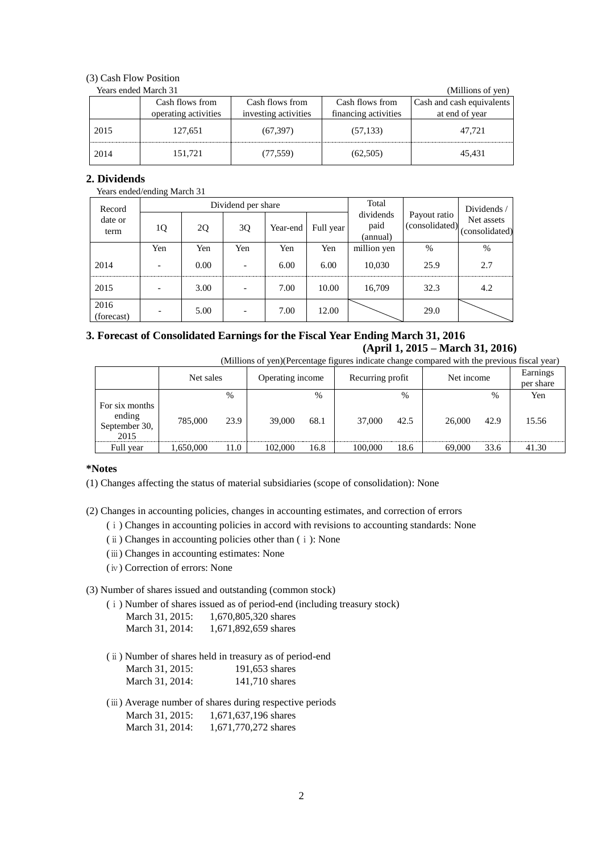# (3) Cash Flow Position

| Years ended March 31 | (Millions of yen)    |                      |                      |                           |
|----------------------|----------------------|----------------------|----------------------|---------------------------|
|                      | Cash flows from      | Cash flows from      | Cash flows from      | Cash and cash equivalents |
|                      | operating activities | investing activities | financing activities | at end of year            |
| 2015                 | 127.651              | (67, 397)            | (57, 133)            | 47.721                    |
| 2014                 | 151,721              | (77, 559)            | (62,505)             | 45.431                    |

# **2. Dividends**

# Years ended/ending March 31

| Record             |                          |      | Dividend per share |          |           | Total                         |                                | Dividends /                  |
|--------------------|--------------------------|------|--------------------|----------|-----------|-------------------------------|--------------------------------|------------------------------|
| date or<br>term    | 1Q                       | 2Q   | 3Q                 | Year-end | Full year | dividends<br>paid<br>(annual) | Payout ratio<br>(consolidated) | Net assets<br>(consolidated) |
|                    | Yen                      | Yen  | Yen                | Yen      | Yen       | million yen                   | $\%$                           | %                            |
| 2014               | $\overline{\phantom{0}}$ | 0.00 |                    | 6.00     | 6.00      | 10,030                        | 25.9                           | 2.7                          |
| 2015               |                          | 3.00 |                    | 7.00     | 10.00     | 16,709                        | 32.3                           | 4.2                          |
| 2016<br>(forecast) |                          | 5.00 |                    | 7.00     | 12.00     |                               | 29.0                           |                              |

# **3. Forecast of Consolidated Earnings for the Fiscal Year Ending March 31, 2016 (April 1, 2015 – March 31, 2016)**

(Millions of yen)(Percentage figures indicate change compared with the previous fiscal year)

|                                                   | Net sales |      | Operating income |      | Recurring profit |      | Net income |      | Earnings<br>per share |
|---------------------------------------------------|-----------|------|------------------|------|------------------|------|------------|------|-----------------------|
|                                                   |           | $\%$ |                  | $\%$ |                  | %    |            | $\%$ | Yen                   |
| For six months<br>ending<br>September 30,<br>2015 | 785,000   | 23.9 | 39,000           | 68.1 | 37,000           | 42.5 | 26,000     | 42.9 | 15.56                 |
| Full year                                         | 1,650,000 | 11.0 | 102,000          | 16.8 | 100,000          | 18.6 | 69,000     | 33.6 | 41.30                 |

### **\*Notes**

(1) Changes affecting the status of material subsidiaries (scope of consolidation): None

(2) Changes in accounting policies, changes in accounting estimates, and correction of errors

- (ⅰ) Changes in accounting policies in accord with revisions to accounting standards: None
- (ⅱ) Changes in accounting policies other than (ⅰ): None
- (ⅲ) Changes in accounting estimates: None
- (ⅳ) Correction of errors: None

(3) Number of shares issued and outstanding (common stock)

(ⅰ) Number of shares issued as of period-end (including treasury stock)

| March 31, 2015: | 1,670,805,320 shares |
|-----------------|----------------------|
| March 31, 2014: | 1,671,892,659 shares |

- (ⅱ) Number of shares held in treasury as of period-end March 31, 2015: 191,653 shares March 31, 2014: 141,710 shares
- (ⅲ) Average number of shares during respective periods March 31, 2015: 1,671,637,196 shares March 31, 2014: 1,671,770,272 shares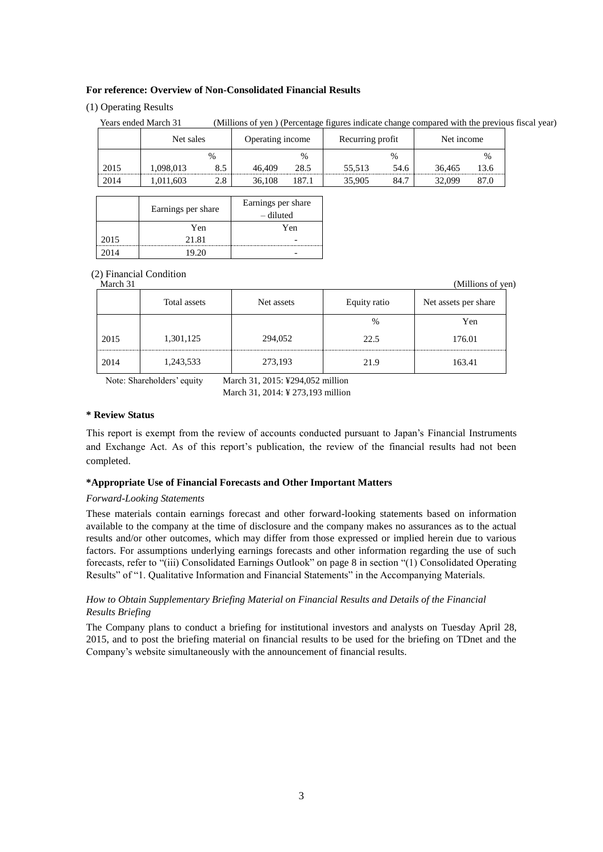#### **For reference: Overview of Non-Consolidated Financial Results**

### (1) Operating Results

|      | Net sales |      | Operating income |       | Recurring profit |               | Net income |               |
|------|-----------|------|------------------|-------|------------------|---------------|------------|---------------|
|      |           | $\%$ |                  | $\%$  |                  | $\frac{0}{0}$ |            | $\frac{0}{0}$ |
| 2015 | .098.013  | 8.5  | 46.409           | 28.5  | 55.513           | 54.6          | 36.465     | 13.6          |
| 2014 | ,011,603  | 2.8  | 36.108           | 187.1 | 35,905           | 84.7          | 32.099     | 87.0          |

| Years ended March 31 | (Millions of yen) (Percentage figures indicate change compared with the previous fiscal year) |  |  |
|----------------------|-----------------------------------------------------------------------------------------------|--|--|
|                      |                                                                                               |  |  |

|      | Earnings per share | Earnings per share<br>– diluted |
|------|--------------------|---------------------------------|
|      | Yen                | Yen                             |
| 2015 | 21.81              |                                 |
| 2014 | 19.20              |                                 |

# (2) Financial Condition

| March 31<br>(Millions of yen) |              |            |              |                      |  |  |  |
|-------------------------------|--------------|------------|--------------|----------------------|--|--|--|
|                               | Total assets | Net assets | Equity ratio | Net assets per share |  |  |  |
|                               |              |            | $\%$         | Yen                  |  |  |  |
| 2015                          | 1,301,125    | 294,052    | 22.5         | 176.01               |  |  |  |
| 2014                          | 1,243,533    | 273,193    | 21.9         | 163.41               |  |  |  |

Note: Shareholders' equity March 31, 2015: ¥294,052 million

March 31, 2014: ¥ 273,193 million

# **\* Review Status**

This report is exempt from the review of accounts conducted pursuant to Japan's Financial Instruments and Exchange Act. As of this report's publication, the review of the financial results had not been completed.

### **\*Appropriate Use of Financial Forecasts and Other Important Matters**

#### *Forward-Looking Statements*

These materials contain earnings forecast and other forward-looking statements based on information available to the company at the time of disclosure and the company makes no assurances as to the actual results and/or other outcomes, which may differ from those expressed or implied herein due to various factors. For assumptions underlying earnings forecasts and other information regarding the use of such forecasts, refer to "(iii) Consolidated Earnings Outlook" on page 8 in section "(1) Consolidated Operating Results" of "1. Qualitative Information and Financial Statements" in the Accompanying Materials.

# *How to Obtain Supplementary Briefing Material on Financial Results and Details of the Financial Results Briefing*

The Company plans to conduct a briefing for institutional investors and analysts on Tuesday April 28, 2015, and to post the briefing material on financial results to be used for the briefing on TDnet and the Company's website simultaneously with the announcement of financial results.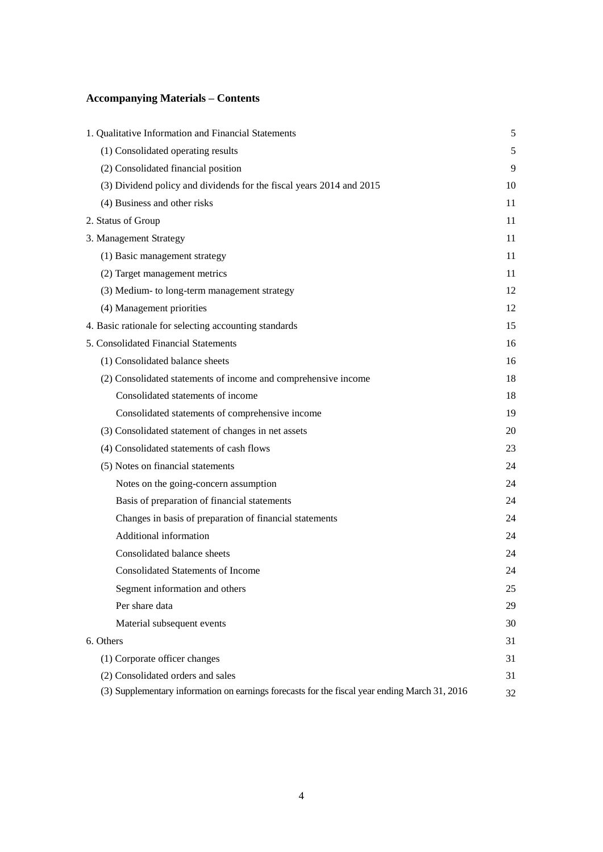# **Accompanying Materials – Contents**

| 1. Qualitative Information and Financial Statements                                           | 5  |
|-----------------------------------------------------------------------------------------------|----|
| (1) Consolidated operating results                                                            | 5  |
| (2) Consolidated financial position                                                           | 9  |
| (3) Dividend policy and dividends for the fiscal years 2014 and 2015                          | 10 |
| (4) Business and other risks                                                                  | 11 |
| 2. Status of Group                                                                            | 11 |
| 3. Management Strategy                                                                        | 11 |
| (1) Basic management strategy                                                                 | 11 |
| (2) Target management metrics                                                                 | 11 |
| (3) Medium- to long-term management strategy                                                  | 12 |
| (4) Management priorities                                                                     | 12 |
| 4. Basic rationale for selecting accounting standards                                         | 15 |
| 5. Consolidated Financial Statements                                                          | 16 |
| (1) Consolidated balance sheets                                                               | 16 |
| (2) Consolidated statements of income and comprehensive income                                | 18 |
| Consolidated statements of income                                                             | 18 |
| Consolidated statements of comprehensive income                                               | 19 |
| (3) Consolidated statement of changes in net assets                                           | 20 |
| (4) Consolidated statements of cash flows                                                     | 23 |
| (5) Notes on financial statements                                                             | 24 |
| Notes on the going-concern assumption                                                         | 24 |
| Basis of preparation of financial statements                                                  | 24 |
| Changes in basis of preparation of financial statements                                       | 24 |
| Additional information                                                                        | 24 |
| Consolidated balance sheets                                                                   | 24 |
| <b>Consolidated Statements of Income</b>                                                      | 24 |
| Segment information and others                                                                | 25 |
| Per share data                                                                                | 29 |
| Material subsequent events                                                                    | 30 |
| 6. Others                                                                                     | 31 |
| (1) Corporate officer changes                                                                 | 31 |
| (2) Consolidated orders and sales                                                             | 31 |
| (3) Supplementary information on earnings forecasts for the fiscal year ending March 31, 2016 | 32 |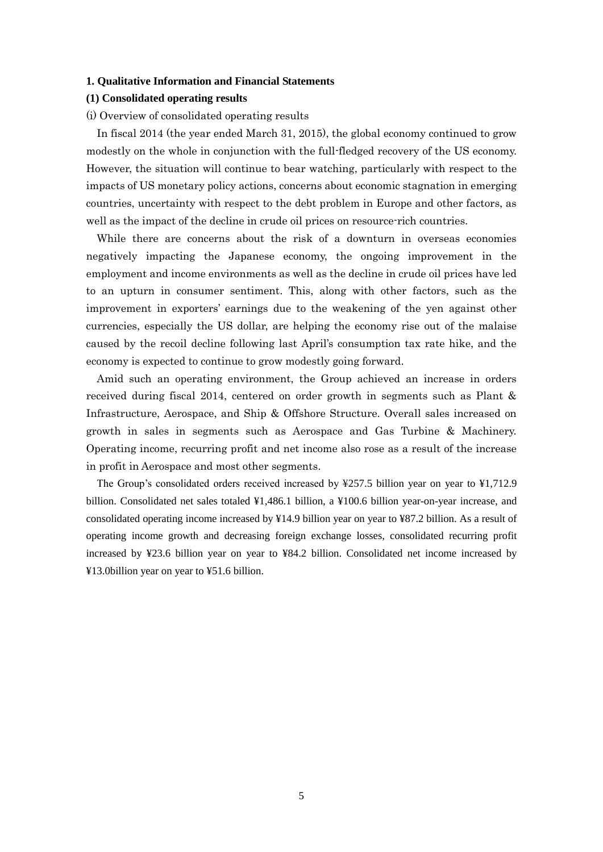#### **1. Qualitative Information and Financial Statements**

### **(1) Consolidated operating results**

#### (i) Overview of consolidated operating results

In fiscal 2014 (the year ended March 31, 2015), the global economy continued to grow modestly on the whole in conjunction with the full-fledged recovery of the US economy. However, the situation will continue to bear watching, particularly with respect to the impacts of US monetary policy actions, concerns about economic stagnation in emerging countries, uncertainty with respect to the debt problem in Europe and other factors, as well as the impact of the decline in crude oil prices on resource-rich countries.

While there are concerns about the risk of a downturn in overseas economies negatively impacting the Japanese economy, the ongoing improvement in the employment and income environments as well as the decline in crude oil prices have led to an upturn in consumer sentiment. This, along with other factors, such as the improvement in exporters' earnings due to the weakening of the yen against other currencies, especially the US dollar, are helping the economy rise out of the malaise caused by the recoil decline following last April's consumption tax rate hike, and the economy is expected to continue to grow modestly going forward.

Amid such an operating environment, the Group achieved an increase in orders received during fiscal 2014, centered on order growth in segments such as Plant & Infrastructure, Aerospace, and Ship & Offshore Structure. Overall sales increased on growth in sales in segments such as Aerospace and Gas Turbine & Machinery. Operating income, recurring profit and net income also rose as a result of the increase in profit in Aerospace and most other segments.

The Group's consolidated orders received increased by ¥257.5 billion year on year to ¥1,712.9 billion. Consolidated net sales totaled ¥1,486.1 billion, a ¥100.6 billion year-on-year increase, and consolidated operating income increased by ¥14.9 billion year on year to ¥87.2 billion. As a result of operating income growth and decreasing foreign exchange losses, consolidated recurring profit increased by ¥23.6 billion year on year to ¥84.2 billion. Consolidated net income increased by ¥13.0billion year on year to ¥51.6 billion.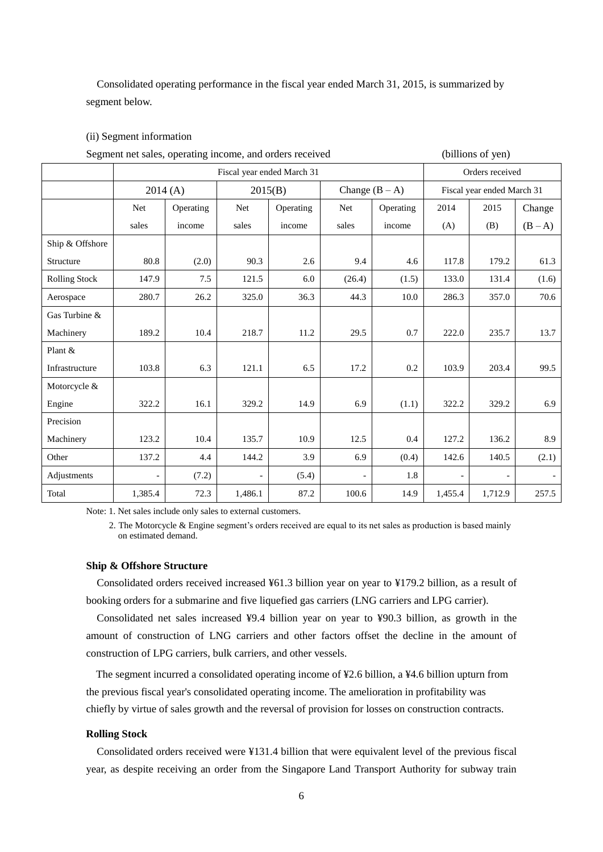Consolidated operating performance in the fiscal year ended March 31, 2015, is summarized by segment below.

# (ii) Segment information

| Segment net sales, operating income, and orders received |                            |           |                          |                             |                 | (billions of yen) |                            |         |         |
|----------------------------------------------------------|----------------------------|-----------|--------------------------|-----------------------------|-----------------|-------------------|----------------------------|---------|---------|
|                                                          | Fiscal year ended March 31 |           |                          |                             | Orders received |                   |                            |         |         |
|                                                          |                            | 2014(A)   |                          | Change $(B - A)$<br>2015(B) |                 |                   | Fiscal year ended March 31 |         |         |
|                                                          | Net                        | Operating | Net                      | Operating                   | Net             | Operating         | 2014                       | 2015    | Change  |
|                                                          | sales                      | income    | sales                    | income                      | sales           | income            | (A)                        | (B)     | $(B-A)$ |
| Ship & Offshore                                          |                            |           |                          |                             |                 |                   |                            |         |         |
| Structure                                                | 80.8                       | (2.0)     | 90.3                     | 2.6                         | 9.4             | 4.6               | 117.8                      | 179.2   | 61.3    |
| <b>Rolling Stock</b>                                     | 147.9                      | 7.5       | 121.5                    | 6.0                         | (26.4)          | (1.5)             | 133.0                      | 131.4   | (1.6)   |
| Aerospace                                                | 280.7                      | 26.2      | 325.0                    | 36.3                        | 44.3            | 10.0              | 286.3                      | 357.0   | 70.6    |
| Gas Turbine &                                            |                            |           |                          |                             |                 |                   |                            |         |         |
| Machinery                                                | 189.2                      | 10.4      | 218.7                    | 11.2                        | 29.5            | 0.7               | 222.0                      | 235.7   | 13.7    |
| Plant &                                                  |                            |           |                          |                             |                 |                   |                            |         |         |
| Infrastructure                                           | 103.8                      | 6.3       | 121.1                    | 6.5                         | 17.2            | 0.2               | 103.9                      | 203.4   | 99.5    |
| Motorcycle &                                             |                            |           |                          |                             |                 |                   |                            |         |         |
| Engine                                                   | 322.2                      | 16.1      | 329.2                    | 14.9                        | 6.9             | (1.1)             | 322.2                      | 329.2   | 6.9     |
| Precision                                                |                            |           |                          |                             |                 |                   |                            |         |         |
| Machinery                                                | 123.2                      | 10.4      | 135.7                    | 10.9                        | 12.5            | 0.4               | 127.2                      | 136.2   | 8.9     |
| Other                                                    | 137.2                      | 4.4       | 144.2                    | 3.9                         | 6.9             | (0.4)             | 142.6                      | 140.5   | (2.1)   |
| Adjustments                                              | $\overline{a}$             | (7.2)     | $\overline{\phantom{0}}$ | (5.4)                       |                 | 1.8               |                            |         |         |
| Total                                                    | 1,385.4                    | 72.3      | 1,486.1                  | 87.2                        | 100.6           | 14.9              | 1,455.4                    | 1,712.9 | 257.5   |

Note: 1. Net sales include only sales to external customers.

2. The Motorcycle & Engine segment's orders received are equal to its net sales as production is based mainly on estimated demand.

## **Ship & Offshore Structure**

Consolidated orders received increased ¥61.3 billion year on year to ¥179.2 billion, as a result of booking orders for a submarine and five liquefied gas carriers (LNG carriers and LPG carrier).

Consolidated net sales increased ¥9.4 billion year on year to ¥90.3 billion, as growth in the amount of construction of LNG carriers and other factors offset the decline in the amount of construction of LPG carriers, bulk carriers, and other vessels.

The segment incurred a consolidated operating income of ¥2.6 billion, a ¥4.6 billion upturn from the previous fiscal year's consolidated operating income. The amelioration in profitability was chiefly by virtue of sales growth and the reversal of provision for losses on construction contracts.

### **Rolling Stock**

Consolidated orders received were ¥131.4 billion that were equivalent level of the previous fiscal year, as despite receiving an order from the Singapore Land Transport Authority for subway train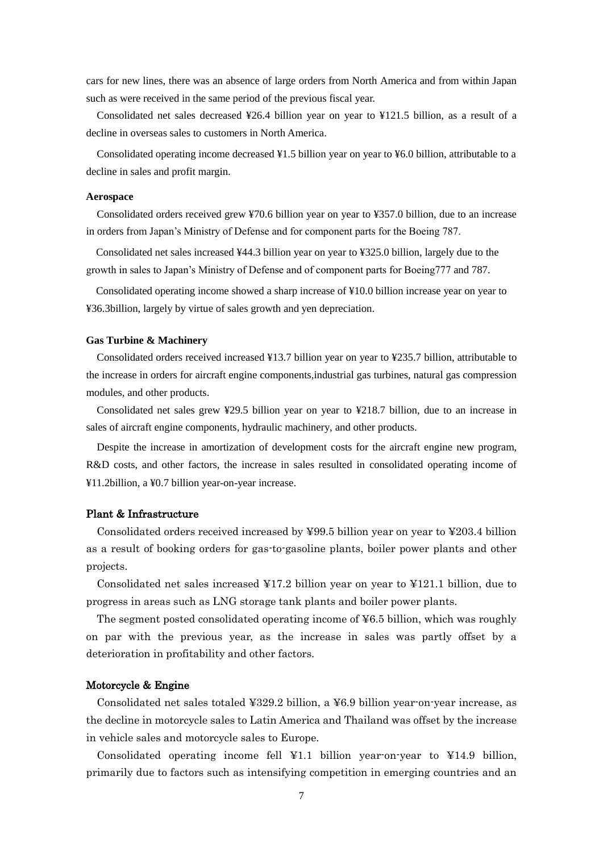cars for new lines, there was an absence of large orders from North America and from within Japan such as were received in the same period of the previous fiscal year.

Consolidated net sales decreased ¥26.4 billion year on year to ¥121.5 billion, as a result of a decline in overseas sales to customers in North America.

Consolidated operating income decreased ¥1.5 billion year on year to ¥6.0 billion, attributable to a decline in sales and profit margin.

### **Aerospace**

Consolidated orders received grew ¥70.6 billion year on year to ¥357.0 billion, due to an increase in orders from Japan's Ministry of Defense and for component parts for the Boeing 787.

Consolidated net sales increased ¥44.3 billion year on year to ¥325.0 billion, largely due to the growth in sales to Japan's Ministry of Defense and of component parts for Boeing777 and 787.

Consolidated operating income showed a sharp increase of ¥10.0 billion increase year on year to ¥36.3billion, largely by virtue of sales growth and yen depreciation.

#### **Gas Turbine & Machinery**

Consolidated orders received increased ¥13.7 billion year on year to ¥235.7 billion, attributable to the increase in orders for aircraft engine components,industrial gas turbines, natural gas compression modules, and other products.

Consolidated net sales grew ¥29.5 billion year on year to ¥218.7 billion, due to an increase in sales of aircraft engine components, hydraulic machinery, and other products.

Despite the increase in amortization of development costs for the aircraft engine new program, R&D costs, and other factors, the increase in sales resulted in consolidated operating income of ¥11.2billion, a ¥0.7 billion year-on-year increase.

#### Plant & Infrastructure

Consolidated orders received increased by ¥99.5 billion year on year to ¥203.4 billion as a result of booking orders for gas-to-gasoline plants, boiler power plants and other projects.

Consolidated net sales increased ¥17.2 billion year on year to ¥121.1 billion, due to progress in areas such as LNG storage tank plants and boiler power plants.

The segment posted consolidated operating income of ¥6.5 billion, which was roughly on par with the previous year, as the increase in sales was partly offset by a deterioration in profitability and other factors.

#### Motorcycle & Engine

Consolidated net sales totaled ¥329.2 billion, a ¥6.9 billion year-on-year increase, as the decline in motorcycle sales to Latin America and Thailand was offset by the increase in vehicle sales and motorcycle sales to Europe.

Consolidated operating income fell ¥1.1 billion year-on-year to ¥14.9 billion, primarily due to factors such as intensifying competition in emerging countries and an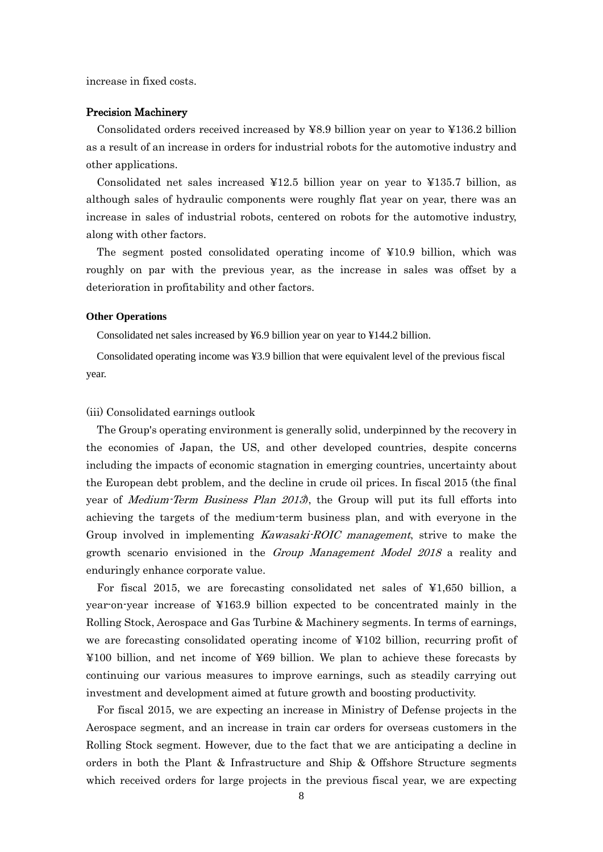increase in fixed costs.

#### Precision Machinery

Consolidated orders received increased by ¥8.9 billion year on year to ¥136.2 billion as a result of an increase in orders for industrial robots for the automotive industry and other applications.

Consolidated net sales increased ¥12.5 billion year on year to ¥135.7 billion, as although sales of hydraulic components were roughly flat year on year, there was an increase in sales of industrial robots, centered on robots for the automotive industry, along with other factors.

The segment posted consolidated operating income of ¥10.9 billion, which was roughly on par with the previous year, as the increase in sales was offset by a deterioration in profitability and other factors.

#### **Other Operations**

Consolidated net sales increased by ¥6.9 billion year on year to ¥144.2 billion.

Consolidated operating income was ¥3.9 billion that were equivalent level of the previous fiscal year.

### (iii) Consolidated earnings outlook

The Group's operating environment is generally solid, underpinned by the recovery in the economies of Japan, the US, and other developed countries, despite concerns including the impacts of economic stagnation in emerging countries, uncertainty about the European debt problem, and the decline in crude oil prices. In fiscal 2015 (the final year of *Medium-Term Business Plan 2013*), the Group will put its full efforts into achieving the targets of the medium-term business plan, and with everyone in the Group involved in implementing *Kawasaki-ROIC management*, strive to make the growth scenario envisioned in the Group Management Model 2018 a reality and enduringly enhance corporate value.

For fiscal 2015, we are forecasting consolidated net sales of ¥1,650 billion, a year-on-year increase of ¥163.9 billion expected to be concentrated mainly in the Rolling Stock, Aerospace and Gas Turbine & Machinery segments. In terms of earnings, we are forecasting consolidated operating income of ¥102 billion, recurring profit of ¥100 billion, and net income of ¥69 billion. We plan to achieve these forecasts by continuing our various measures to improve earnings, such as steadily carrying out investment and development aimed at future growth and boosting productivity.

For fiscal 2015, we are expecting an increase in Ministry of Defense projects in the Aerospace segment, and an increase in train car orders for overseas customers in the Rolling Stock segment. However, due to the fact that we are anticipating a decline in orders in both the Plant & Infrastructure and Ship & Offshore Structure segments which received orders for large projects in the previous fiscal year, we are expecting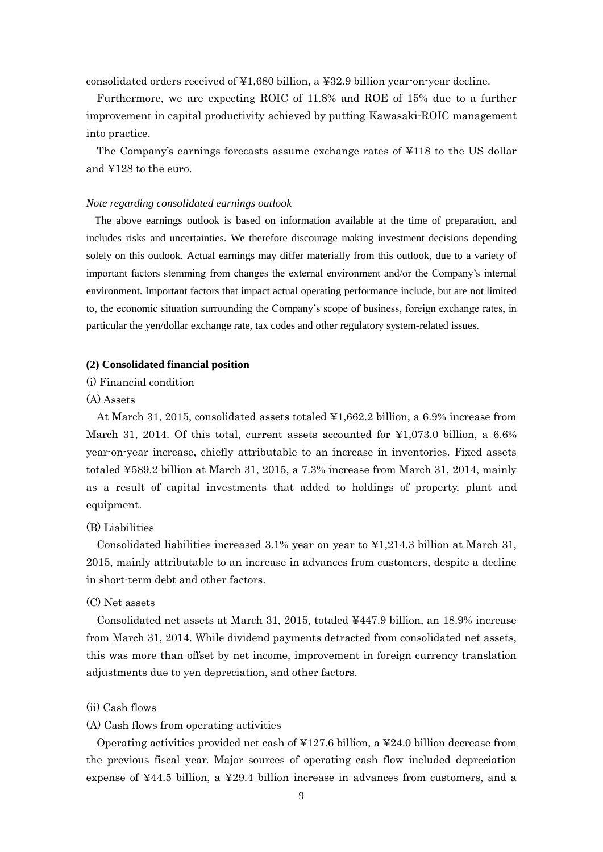consolidated orders received of ¥1,680 billion, a ¥32.9 billion year-on-year decline.

Furthermore, we are expecting ROIC of 11.8% and ROE of 15% due to a further improvement in capital productivity achieved by putting Kawasaki-ROIC management into practice.

The Company's earnings forecasts assume exchange rates of ¥118 to the US dollar and ¥128 to the euro.

### *Note regarding consolidated earnings outlook*

The above earnings outlook is based on information available at the time of preparation, and includes risks and uncertainties. We therefore discourage making investment decisions depending solely on this outlook. Actual earnings may differ materially from this outlook, due to a variety of important factors stemming from changes the external environment and/or the Company's internal environment. Important factors that impact actual operating performance include, but are not limited to, the economic situation surrounding the Company's scope of business, foreign exchange rates, in particular the yen/dollar exchange rate, tax codes and other regulatory system-related issues.

### **(2) Consolidated financial position**

(i) Financial condition

### (A) Assets

At March 31, 2015, consolidated assets totaled ¥1,662.2 billion, a 6.9% increase from March 31, 2014. Of this total, current assets accounted for  $\yen 1,073.0$  billion, a 6.6% year-on-year increase, chiefly attributable to an increase in inventories. Fixed assets totaled ¥589.2 billion at March 31, 2015, a 7.3% increase from March 31, 2014, mainly as a result of capital investments that added to holdings of property, plant and equipment.

# (B) Liabilities

Consolidated liabilities increased 3.1% year on year to ¥1,214.3 billion at March 31, 2015, mainly attributable to an increase in advances from customers, despite a decline in short-term debt and other factors.

# (C) Net assets

Consolidated net assets at March 31, 2015, totaled ¥447.9 billion, an 18.9% increase from March 31, 2014. While dividend payments detracted from consolidated net assets, this was more than offset by net income, improvement in foreign currency translation adjustments due to yen depreciation, and other factors.

## (ii) Cash flows

## (A) Cash flows from operating activities

Operating activities provided net cash of ¥127.6 billion, a ¥24.0 billion decrease from the previous fiscal year. Major sources of operating cash flow included depreciation expense of ¥44.5 billion, a ¥29.4 billion increase in advances from customers, and a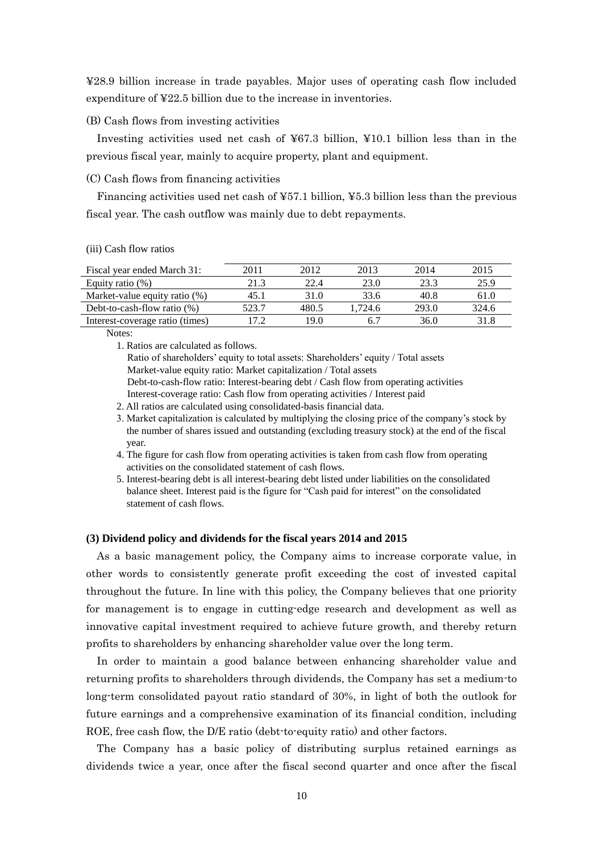¥28.9 billion increase in trade payables. Major uses of operating cash flow included expenditure of ¥22.5 billion due to the increase in inventories.

#### (B) Cash flows from investing activities

Investing activities used net cash of ¥67.3 billion, ¥10.1 billion less than in the previous fiscal year, mainly to acquire property, plant and equipment.

### (C) Cash flows from financing activities

Financing activities used net cash of ¥57.1 billion, ¥5.3 billion less than the previous fiscal year. The cash outflow was mainly due to debt repayments.

### (iii) Cash flow ratios

| Fiscal year ended March 31:      | 2011  | 2012  | 2013   | 2014  | 2015  |
|----------------------------------|-------|-------|--------|-------|-------|
| Equity ratio $(\%)$              | 21.3  | 22.4  | 23.0   | 23.3  | 25.9  |
| Market-value equity ratio $(\%)$ | 45.1  | 31 O  | 33.6   | 40.8  | 61.0  |
| Debt-to-cash-flow ratio $(\%)$   | 523.7 | 480.5 | .724.6 | 293.0 | 324.6 |
| Interest-coverage ratio (times)  |       | 19 O  |        | 36.0  | 31.8  |

Notes:

1. Ratios are calculated as follows.

Ratio of shareholders' equity to total assets: Shareholders' equity / Total assets Market-value equity ratio: Market capitalization / Total assets Debt-to-cash-flow ratio: Interest-bearing debt / Cash flow from operating activities Interest-coverage ratio: Cash flow from operating activities / Interest paid

2. All ratios are calculated using consolidated-basis financial data.

3. Market capitalization is calculated by multiplying the closing price of the company's stock by the number of shares issued and outstanding (excluding treasury stock) at the end of the fiscal year.

4. The figure for cash flow from operating activities is taken from cash flow from operating activities on the consolidated statement of cash flows.

5. Interest-bearing debt is all interest-bearing debt listed under liabilities on the consolidated balance sheet. Interest paid is the figure for "Cash paid for interest" on the consolidated statement of cash flows.

### **(3) Dividend policy and dividends for the fiscal years 2014 and 2015**

As a basic management policy, the Company aims to increase corporate value, in other words to consistently generate profit exceeding the cost of invested capital throughout the future. In line with this policy, the Company believes that one priority for management is to engage in cutting-edge research and development as well as innovative capital investment required to achieve future growth, and thereby return profits to shareholders by enhancing shareholder value over the long term.

In order to maintain a good balance between enhancing shareholder value and returning profits to shareholders through dividends, the Company has set a medium-to long-term consolidated payout ratio standard of 30%, in light of both the outlook for future earnings and a comprehensive examination of its financial condition, including ROE, free cash flow, the D/E ratio (debt-to-equity ratio) and other factors.

The Company has a basic policy of distributing surplus retained earnings as dividends twice a year, once after the fiscal second quarter and once after the fiscal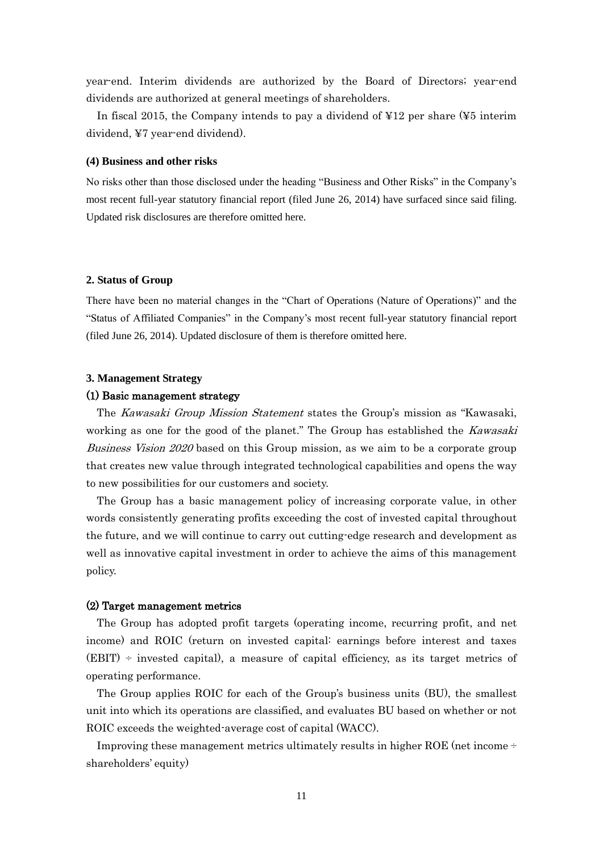year-end. Interim dividends are authorized by the Board of Directors; year-end dividends are authorized at general meetings of shareholders.

In fiscal 2015, the Company intends to pay a dividend of ¥12 per share (¥5 interim dividend, ¥7 year-end dividend).

#### **(4) Business and other risks**

No risks other than those disclosed under the heading "Business and Other Risks" in the Company's most recent full-year statutory financial report (filed June 26, 2014) have surfaced since said filing. Updated risk disclosures are therefore omitted here.

#### **2. Status of Group**

There have been no material changes in the "Chart of Operations (Nature of Operations)" and the "Status of Affiliated Companies" in the Company's most recent full-year statutory financial report (filed June 26, 2014). Updated disclosure of them is therefore omitted here.

#### **3. Management Strategy**

# (1) Basic management strategy

The Kawasaki Group Mission Statement states the Group's mission as "Kawasaki, working as one for the good of the planet." The Group has established the Kawasaki Business Vision 2020 based on this Group mission, as we aim to be a corporate group that creates new value through integrated technological capabilities and opens the way to new possibilities for our customers and society.

The Group has a basic management policy of increasing corporate value, in other words consistently generating profits exceeding the cost of invested capital throughout the future, and we will continue to carry out cutting-edge research and development as well as innovative capital investment in order to achieve the aims of this management policy.

## (2) Target management metrics

The Group has adopted profit targets (operating income, recurring profit, and net income) and ROIC (return on invested capital: earnings before interest and taxes  $(EBIT)$  ÷ invested capital), a measure of capital efficiency, as its target metrics of operating performance.

The Group applies ROIC for each of the Group's business units (BU), the smallest unit into which its operations are classified, and evaluates BU based on whether or not ROIC exceeds the weighted-average cost of capital (WACC).

Improving these management metrics ultimately results in higher ROE (net income ÷ shareholders' equity)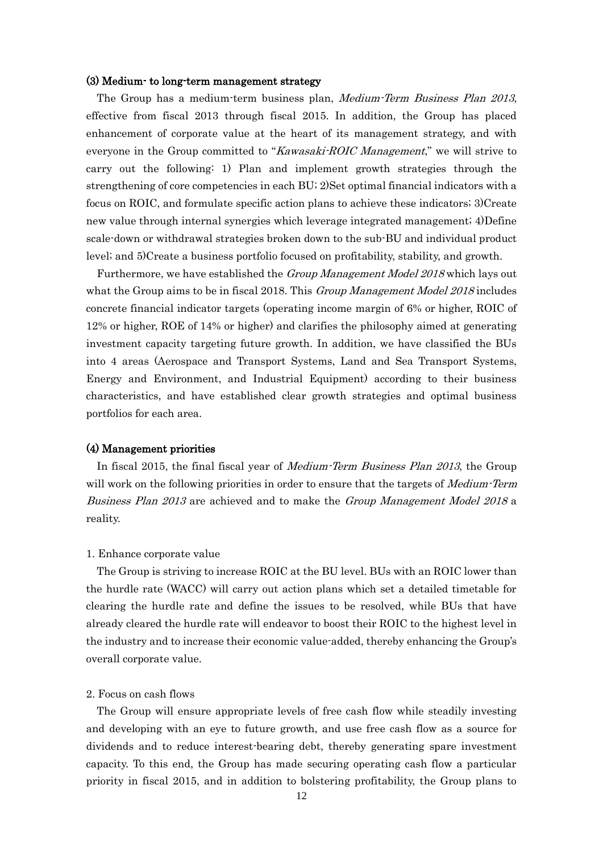#### (3) Medium- to long-term management strategy

The Group has a medium-term business plan, Medium-Term Business Plan 2013, effective from fiscal 2013 through fiscal 2015. In addition, the Group has placed enhancement of corporate value at the heart of its management strategy, and with everyone in the Group committed to "Kawasaki-ROIC Management," we will strive to carry out the following: 1) Plan and implement growth strategies through the strengthening of core competencies in each BU; 2)Set optimal financial indicators with a focus on ROIC, and formulate specific action plans to achieve these indicators; 3)Create new value through internal synergies which leverage integrated management; 4)Define scale-down or withdrawal strategies broken down to the sub-BU and individual product level; and 5)Create a business portfolio focused on profitability, stability, and growth.

Furthermore, we have established the Group Management Model 2018 which lays out what the Group aims to be in fiscal 2018. This *Group Management Model 2018* includes concrete financial indicator targets (operating income margin of 6% or higher, ROIC of 12% or higher, ROE of 14% or higher) and clarifies the philosophy aimed at generating investment capacity targeting future growth. In addition, we have classified the BUs into 4 areas (Aerospace and Transport Systems, Land and Sea Transport Systems, Energy and Environment, and Industrial Equipment) according to their business characteristics, and have established clear growth strategies and optimal business portfolios for each area.

### (4) Management priorities

In fiscal 2015, the final fiscal year of Medium-Term Business Plan 2013, the Group will work on the following priorities in order to ensure that the targets of *Medium-Term* Business Plan 2013 are achieved and to make the Group Management Model 2018 a reality.

#### 1. Enhance corporate value

The Group is striving to increase ROIC at the BU level. BUs with an ROIC lower than the hurdle rate (WACC) will carry out action plans which set a detailed timetable for clearing the hurdle rate and define the issues to be resolved, while BUs that have already cleared the hurdle rate will endeavor to boost their ROIC to the highest level in the industry and to increase their economic value-added, thereby enhancing the Group's overall corporate value.

# 2. Focus on cash flows

The Group will ensure appropriate levels of free cash flow while steadily investing and developing with an eye to future growth, and use free cash flow as a source for dividends and to reduce interest-bearing debt, thereby generating spare investment capacity. To this end, the Group has made securing operating cash flow a particular priority in fiscal 2015, and in addition to bolstering profitability, the Group plans to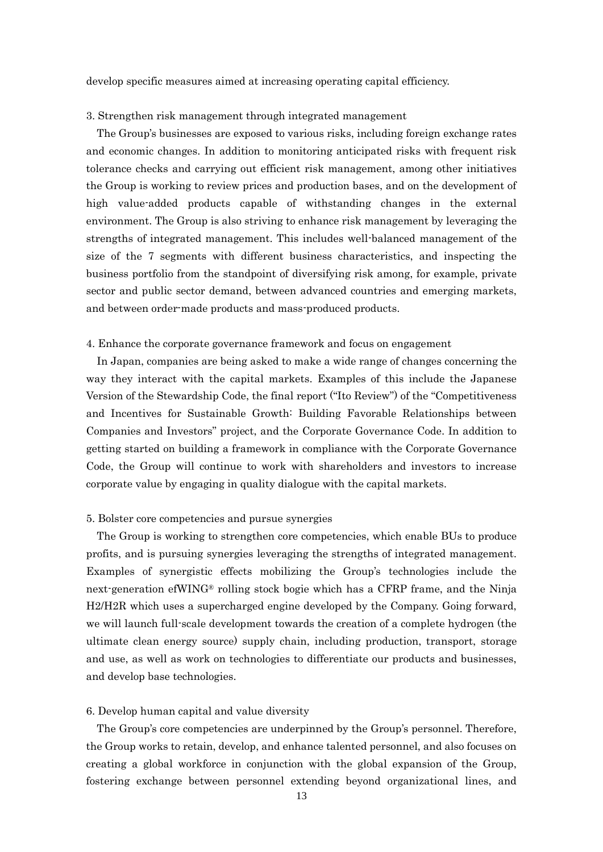develop specific measures aimed at increasing operating capital efficiency.

#### 3. Strengthen risk management through integrated management

The Group's businesses are exposed to various risks, including foreign exchange rates and economic changes. In addition to monitoring anticipated risks with frequent risk tolerance checks and carrying out efficient risk management, among other initiatives the Group is working to review prices and production bases, and on the development of high value-added products capable of withstanding changes in the external environment. The Group is also striving to enhance risk management by leveraging the strengths of integrated management. This includes well-balanced management of the size of the 7 segments with different business characteristics, and inspecting the business portfolio from the standpoint of diversifying risk among, for example, private sector and public sector demand, between advanced countries and emerging markets, and between order-made products and mass-produced products.

#### 4. Enhance the corporate governance framework and focus on engagement

In Japan, companies are being asked to make a wide range of changes concerning the way they interact with the capital markets. Examples of this include the Japanese Version of the Stewardship Code, the final report ("Ito Review") of the "Competitiveness and Incentives for Sustainable Growth: Building Favorable Relationships between Companies and Investors" project, and the Corporate Governance Code. In addition to getting started on building a framework in compliance with the Corporate Governance Code, the Group will continue to work with shareholders and investors to increase corporate value by engaging in quality dialogue with the capital markets.

#### 5. Bolster core competencies and pursue synergies

The Group is working to strengthen core competencies, which enable BUs to produce profits, and is pursuing synergies leveraging the strengths of integrated management. Examples of synergistic effects mobilizing the Group's technologies include the next-generation efWING® rolling stock bogie which has a CFRP frame, and the Ninja H2/H2R which uses a supercharged engine developed by the Company. Going forward, we will launch full-scale development towards the creation of a complete hydrogen (the ultimate clean energy source) supply chain, including production, transport, storage and use, as well as work on technologies to differentiate our products and businesses, and develop base technologies.

#### 6. Develop human capital and value diversity

The Group's core competencies are underpinned by the Group's personnel. Therefore, the Group works to retain, develop, and enhance talented personnel, and also focuses on creating a global workforce in conjunction with the global expansion of the Group, fostering exchange between personnel extending beyond organizational lines, and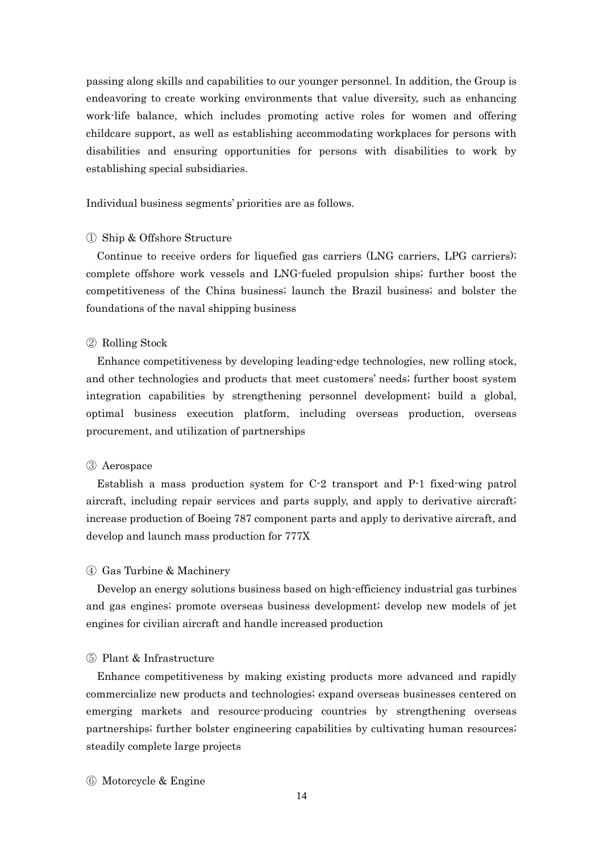passing along skills and capabilities to our younger personnel. In addition, the Group is endeavoring to create working environments that value diversity, such as enhancing work-life balance, which includes promoting active roles for women and offering childcare support, as well as establishing accommodating workplaces for persons with disabilities and ensuring opportunities for persons with disabilities to work by establishing special subsidiaries.

Individual business segments' priorities are as follows.

### ① Ship & Offshore Structure

Continue to receive orders for liquefied gas carriers (LNG carriers, LPG carriers); complete offshore work vessels and LNG-fueled propulsion ships; further boost the competitiveness of the China business; launch the Brazil business; and bolster the foundations of the naval shipping business

#### ② Rolling Stock

Enhance competitiveness by developing leading-edge technologies, new rolling stock, and other technologies and products that meet customers' needs; further boost system integration capabilities by strengthening personnel development; build a global, optimal business execution platform, including overseas production, overseas procurement, and utilization of partnerships

## ③ Aerospace

Establish a mass production system for C-2 transport and P-1 fixed-wing patrol aircraft, including repair services and parts supply, and apply to derivative aircraft; increase production of Boeing 787 component parts and apply to derivative aircraft, and develop and launch mass production for 777X

## ④ Gas Turbine & Machinery

Develop an energy solutions business based on high-efficiency industrial gas turbines and gas engines; promote overseas business development; develop new models of jet engines for civilian aircraft and handle increased production

# ⑤ Plant & Infrastructure

Enhance competitiveness by making existing products more advanced and rapidly commercialize new products and technologies; expand overseas businesses centered on emerging markets and resource-producing countries by strengthening overseas partnerships; further bolster engineering capabilities by cultivating human resources; steadily complete large projects

⑥ Motorcycle & Engine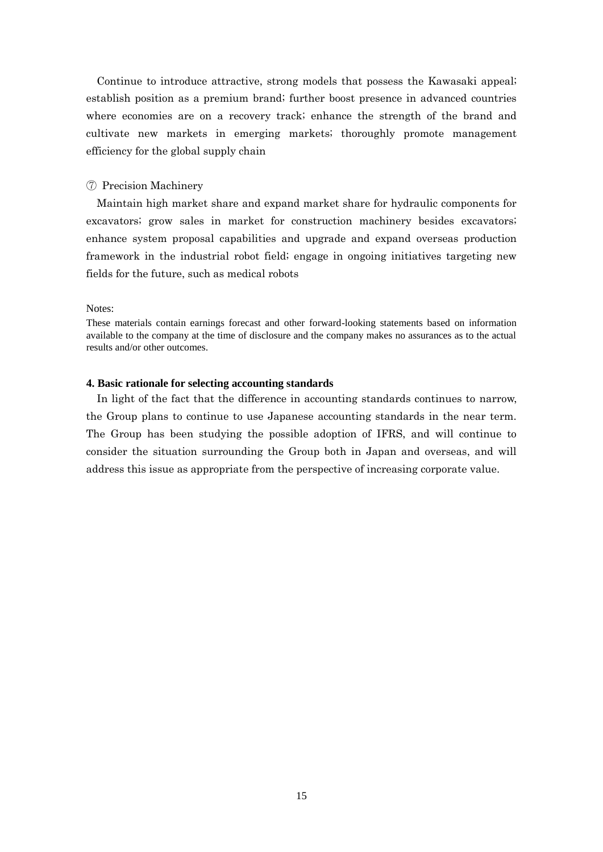Continue to introduce attractive, strong models that possess the Kawasaki appeal; establish position as a premium brand; further boost presence in advanced countries where economies are on a recovery track; enhance the strength of the brand and cultivate new markets in emerging markets; thoroughly promote management efficiency for the global supply chain

### ⑦ Precision Machinery

Maintain high market share and expand market share for hydraulic components for excavators; grow sales in market for construction machinery besides excavators; enhance system proposal capabilities and upgrade and expand overseas production framework in the industrial robot field; engage in ongoing initiatives targeting new fields for the future, such as medical robots

#### Notes:

These materials contain earnings forecast and other forward-looking statements based on information available to the company at the time of disclosure and the company makes no assurances as to the actual results and/or other outcomes.

# **4. Basic rationale for selecting accounting standards**

In light of the fact that the difference in accounting standards continues to narrow, the Group plans to continue to use Japanese accounting standards in the near term. The Group has been studying the possible adoption of IFRS, and will continue to consider the situation surrounding the Group both in Japan and overseas, and will address this issue as appropriate from the perspective of increasing corporate value.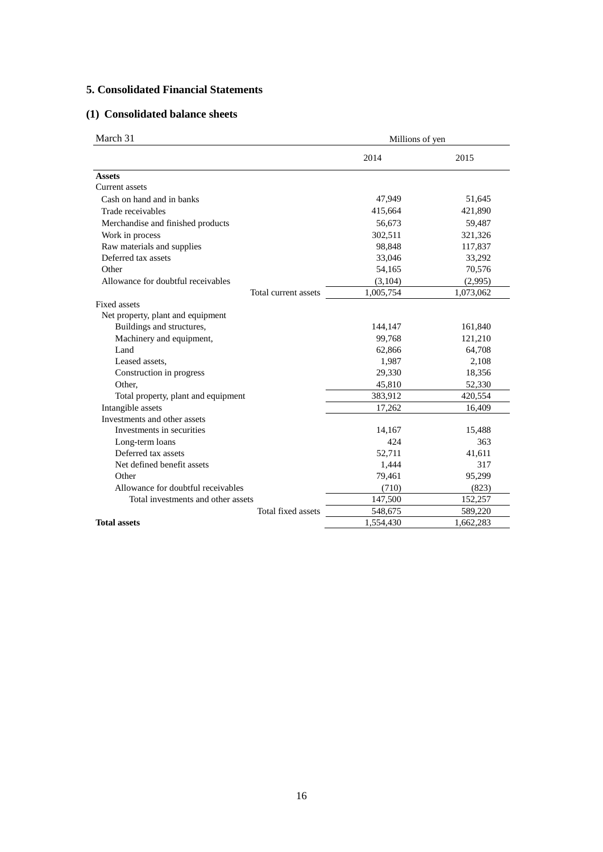# **5. Consolidated Financial Statements**

# **(1) Consolidated balance sheets**

| March 31                            |           | Millions of yen |  |  |
|-------------------------------------|-----------|-----------------|--|--|
|                                     | 2014      | 2015            |  |  |
| <b>Assets</b>                       |           |                 |  |  |
| Current assets                      |           |                 |  |  |
| Cash on hand and in banks           | 47,949    | 51,645          |  |  |
| Trade receivables                   | 415,664   | 421,890         |  |  |
| Merchandise and finished products   | 56,673    | 59,487          |  |  |
| Work in process                     | 302,511   | 321,326         |  |  |
| Raw materials and supplies          | 98,848    | 117,837         |  |  |
| Deferred tax assets                 | 33,046    | 33,292          |  |  |
| Other                               | 54,165    | 70,576          |  |  |
| Allowance for doubtful receivables  | (3,104)   | (2,995)         |  |  |
| Total current assets                | 1,005,754 | 1,073,062       |  |  |
| <b>Fixed assets</b>                 |           |                 |  |  |
| Net property, plant and equipment   |           |                 |  |  |
| Buildings and structures,           | 144,147   | 161,840         |  |  |
| Machinery and equipment,            | 99,768    | 121,210         |  |  |
| Land                                | 62,866    | 64,708          |  |  |
| Leased assets,                      | 1,987     | 2,108           |  |  |
| Construction in progress            | 29,330    | 18,356          |  |  |
| Other,                              | 45,810    | 52,330          |  |  |
| Total property, plant and equipment | 383,912   | 420,554         |  |  |
| Intangible assets                   | 17,262    | 16,409          |  |  |
| Investments and other assets        |           |                 |  |  |
| Investments in securities           | 14,167    | 15,488          |  |  |
| Long-term loans                     | 424       | 363             |  |  |
| Deferred tax assets                 | 52,711    | 41,611          |  |  |
| Net defined benefit assets          | 1,444     | 317             |  |  |
| Other                               | 79,461    | 95,299          |  |  |
| Allowance for doubtful receivables  | (710)     | (823)           |  |  |
| Total investments and other assets  | 147,500   | 152,257         |  |  |
| Total fixed assets                  | 548,675   | 589,220         |  |  |
| <b>Total assets</b>                 | 1,554,430 | 1,662,283       |  |  |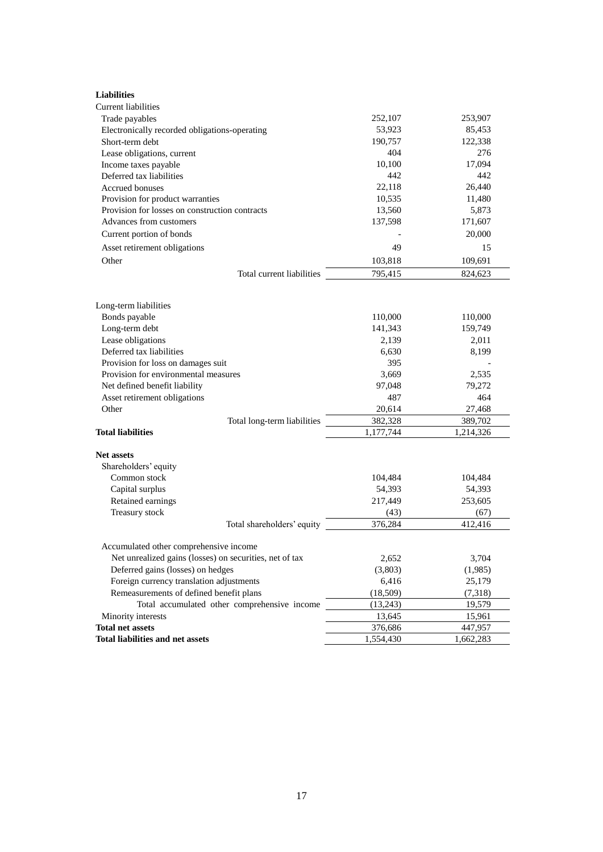| <b>Liabilities</b>                                      |           |           |
|---------------------------------------------------------|-----------|-----------|
| <b>Current liabilities</b>                              |           |           |
| Trade payables                                          | 252,107   | 253,907   |
| Electronically recorded obligations-operating           | 53,923    | 85,453    |
| Short-term debt                                         | 190,757   | 122,338   |
| Lease obligations, current                              | 404       | 276       |
| Income taxes payable                                    | 10,100    | 17,094    |
| Deferred tax liabilities                                | 442       | 442       |
| Accrued bonuses                                         | 22,118    | 26,440    |
| Provision for product warranties                        | 10,535    | 11,480    |
| Provision for losses on construction contracts          | 13,560    | 5,873     |
| Advances from customers                                 | 137,598   | 171,607   |
| Current portion of bonds                                |           | 20,000    |
| Asset retirement obligations                            | 49        | 15        |
| Other                                                   | 103,818   | 109,691   |
| Total current liabilities                               | 795,415   | 824,623   |
|                                                         |           |           |
| Long-term liabilities                                   |           |           |
| Bonds payable                                           | 110,000   | 110,000   |
| Long-term debt                                          | 141,343   | 159,749   |
| Lease obligations                                       | 2,139     | 2,011     |
| Deferred tax liabilities                                | 6,630     | 8,199     |
| Provision for loss on damages suit                      | 395       |           |
| Provision for environmental measures                    | 3,669     | 2,535     |
| Net defined benefit liability                           | 97,048    | 79,272    |
| Asset retirement obligations                            | 487       | 464       |
| Other                                                   | 20,614    | 27,468    |
| Total long-term liabilities                             | 382,328   | 389,702   |
| <b>Total liabilities</b>                                | 1,177,744 | 1,214,326 |
| <b>Net assets</b>                                       |           |           |
| Shareholders' equity                                    |           |           |
| Common stock                                            | 104,484   | 104,484   |
| Capital surplus                                         | 54,393    | 54,393    |
| Retained earnings                                       | 217,449   | 253,605   |
| Treasury stock                                          | (43)      | (67)      |
| Total shareholders' equity                              | 376,284   | 412,416   |
|                                                         |           |           |
| Accumulated other comprehensive income                  |           |           |
| Net unrealized gains (losses) on securities, net of tax | 2,652     | 3,704     |
| Deferred gains (losses) on hedges                       | (3,803)   | (1,985)   |
| Foreign currency translation adjustments                | 6,416     | 25,179    |
| Remeasurements of defined benefit plans                 | (18,509)  | (7,318)   |
| Total accumulated other comprehensive income            | (13,243)  | 19,579    |
| Minority interests                                      | 13,645    | 15,961    |
| <b>Total net assets</b>                                 | 376,686   | 447,957   |
| <b>Total liabilities and net assets</b>                 | 1,554,430 | 1,662,283 |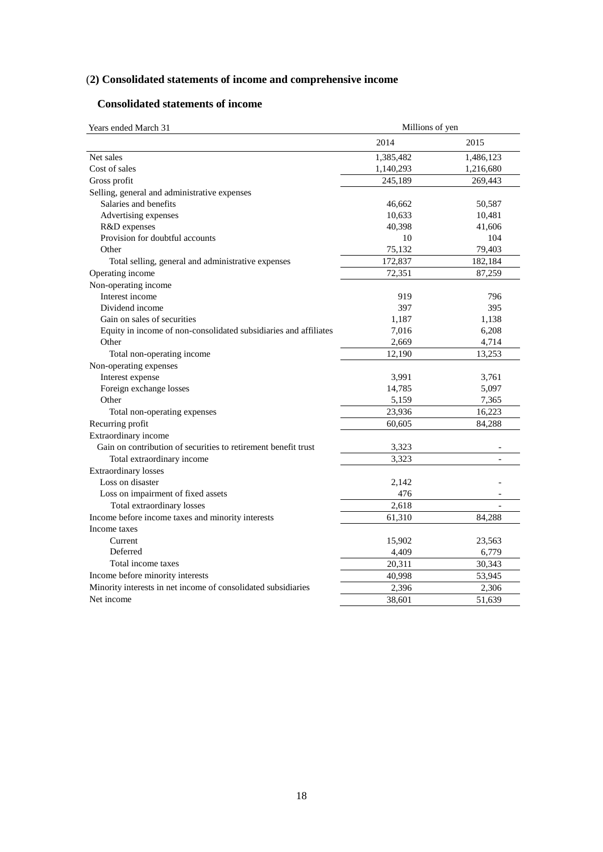# (**2) Consolidated statements of income and comprehensive income**

# **Consolidated statements of income**

| Years ended March 31                                             | Millions of yen |                   |  |  |
|------------------------------------------------------------------|-----------------|-------------------|--|--|
|                                                                  | 2014            | 2015              |  |  |
| Net sales                                                        | 1,385,482       | 1,486,123         |  |  |
| Cost of sales                                                    | 1,140,293       | 1,216,680         |  |  |
| Gross profit                                                     | 245,189         | 269,443           |  |  |
| Selling, general and administrative expenses                     |                 |                   |  |  |
| Salaries and benefits                                            | 46,662          | 50,587            |  |  |
| Advertising expenses                                             | 10,633          | 10,481            |  |  |
| R&D expenses                                                     | 40,398          | 41,606            |  |  |
| Provision for doubtful accounts                                  | 10              | 104               |  |  |
| Other                                                            | 75,132          | 79,403            |  |  |
| Total selling, general and administrative expenses               | 172,837         | 182,184           |  |  |
| Operating income                                                 | 72,351          | 87,259            |  |  |
| Non-operating income                                             |                 |                   |  |  |
| Interest income                                                  | 919             | 796               |  |  |
| Dividend income                                                  | 397             | 395               |  |  |
| Gain on sales of securities                                      | 1,187           | 1,138             |  |  |
| Equity in income of non-consolidated subsidiaries and affiliates | 7,016           | 6,208             |  |  |
| Other                                                            | 2,669           | 4,714             |  |  |
| Total non-operating income                                       | 12,190          | 13,253            |  |  |
| Non-operating expenses                                           |                 |                   |  |  |
| Interest expense                                                 | 3,991           | 3,761             |  |  |
| Foreign exchange losses                                          | 14,785          | 5,097             |  |  |
| Other                                                            | 5,159           | 7,365             |  |  |
| Total non-operating expenses                                     | 23,936          | 16,223            |  |  |
| Recurring profit                                                 | 60,605          | 84,288            |  |  |
| Extraordinary income                                             |                 |                   |  |  |
| Gain on contribution of securities to retirement benefit trust   | 3,323           |                   |  |  |
| Total extraordinary income                                       | 3,323           |                   |  |  |
| <b>Extraordinary losses</b>                                      |                 |                   |  |  |
| Loss on disaster                                                 | 2,142           |                   |  |  |
| Loss on impairment of fixed assets                               | 476             | $\qquad \qquad -$ |  |  |
| Total extraordinary losses                                       | 2,618           |                   |  |  |
| Income before income taxes and minority interests                | 61,310          | 84.288            |  |  |
| Income taxes                                                     |                 |                   |  |  |
| Current                                                          | 15,902          | 23,563            |  |  |
| Deferred                                                         | 4,409           | 6,779             |  |  |
| Total income taxes                                               | 20,311          | 30,343            |  |  |
| Income before minority interests                                 | 40,998          | 53,945            |  |  |
| Minority interests in net income of consolidated subsidiaries    | 2,396           | 2,306             |  |  |
| Net income                                                       | 38,601          | 51,639            |  |  |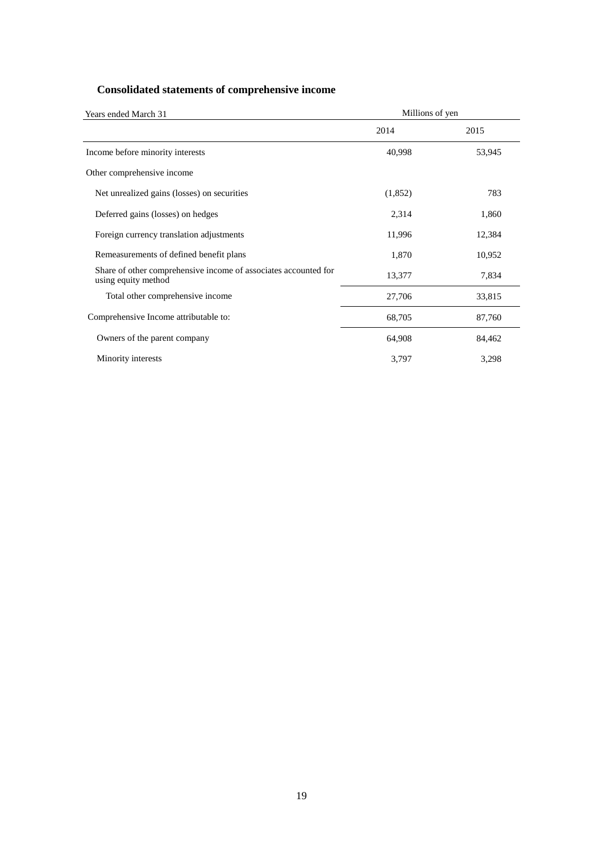# **Consolidated statements of comprehensive income**

| Years ended March 31                                                                   | Millions of yen |        |  |
|----------------------------------------------------------------------------------------|-----------------|--------|--|
|                                                                                        | 2014            | 2015   |  |
| Income before minority interests                                                       | 40,998          | 53,945 |  |
| Other comprehensive income                                                             |                 |        |  |
| Net unrealized gains (losses) on securities                                            | (1,852)         | 783    |  |
| Deferred gains (losses) on hedges                                                      | 2,314           | 1,860  |  |
| Foreign currency translation adjustments                                               | 11,996          | 12,384 |  |
| Remeasurements of defined benefit plans                                                | 1,870           | 10,952 |  |
| Share of other comprehensive income of associates accounted for<br>using equity method | 13,377          | 7,834  |  |
| Total other comprehensive income                                                       | 27,706          | 33,815 |  |
| Comprehensive Income attributable to:                                                  | 68,705          | 87,760 |  |
| Owners of the parent company                                                           | 64,908          | 84,462 |  |
| Minority interests                                                                     | 3,797           | 3,298  |  |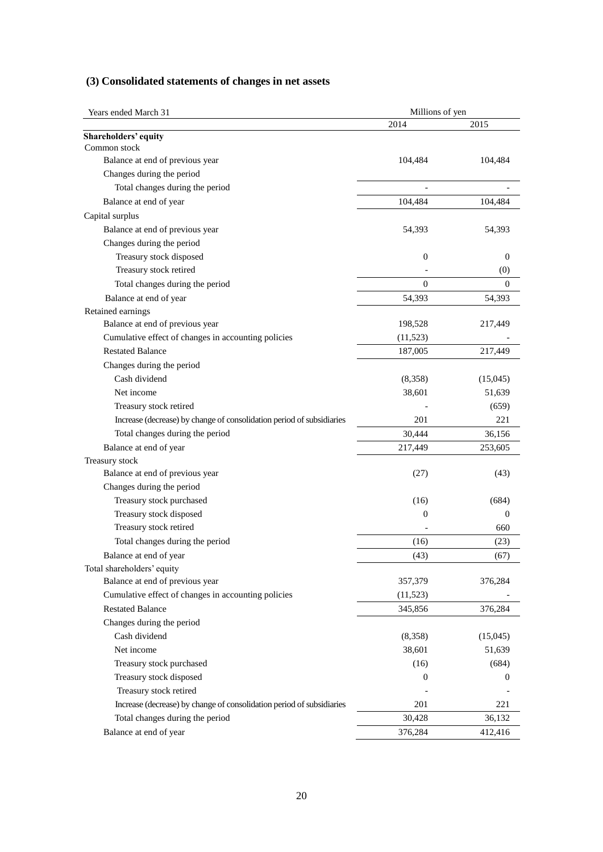|  | (3) Consolidated statements of changes in net assets |  |  |  |  |  |  |
|--|------------------------------------------------------|--|--|--|--|--|--|
|--|------------------------------------------------------|--|--|--|--|--|--|

| Years ended March 31                                                  | Millions of yen  |                |  |  |
|-----------------------------------------------------------------------|------------------|----------------|--|--|
|                                                                       | 2014             | 2015           |  |  |
| Shareholders' equity                                                  |                  |                |  |  |
| Common stock                                                          |                  |                |  |  |
| Balance at end of previous year                                       | 104,484          | 104,484        |  |  |
| Changes during the period                                             |                  |                |  |  |
| Total changes during the period                                       |                  |                |  |  |
| Balance at end of year                                                | 104,484          | 104,484        |  |  |
| Capital surplus                                                       |                  |                |  |  |
| Balance at end of previous year                                       | 54,393           | 54,393         |  |  |
| Changes during the period                                             |                  |                |  |  |
| Treasury stock disposed                                               | $\boldsymbol{0}$ | $\theta$       |  |  |
| Treasury stock retired                                                |                  | (0)            |  |  |
| Total changes during the period                                       | $\boldsymbol{0}$ | $\theta$       |  |  |
| Balance at end of year                                                | 54,393           | 54,393         |  |  |
| Retained earnings                                                     |                  |                |  |  |
| Balance at end of previous year                                       | 198,528          | 217,449        |  |  |
| Cumulative effect of changes in accounting policies                   | (11, 523)        |                |  |  |
| <b>Restated Balance</b>                                               | 187,005          | 217,449        |  |  |
| Changes during the period                                             |                  |                |  |  |
| Cash dividend                                                         | (8,358)          | (15,045)       |  |  |
| Net income                                                            | 38,601           | 51,639         |  |  |
| Treasury stock retired                                                |                  | (659)          |  |  |
| Increase (decrease) by change of consolidation period of subsidiaries | 201              | 221            |  |  |
| Total changes during the period                                       | 30,444           | 36,156         |  |  |
| Balance at end of year                                                | 217,449          | 253,605        |  |  |
| Treasury stock                                                        |                  |                |  |  |
| Balance at end of previous year                                       | (27)             | (43)           |  |  |
| Changes during the period                                             |                  |                |  |  |
| Treasury stock purchased                                              | (16)             | (684)          |  |  |
| Treasury stock disposed                                               | $\boldsymbol{0}$ | $\overline{0}$ |  |  |
| Treasury stock retired                                                |                  | 660            |  |  |
| Total changes during the period                                       | (16)             | (23)           |  |  |
| Balance at end of year                                                | (43)             | (67)           |  |  |
| Total shareholders' equity                                            |                  |                |  |  |
| Balance at end of previous year                                       | 357,379          | 376,284        |  |  |
| Cumulative effect of changes in accounting policies                   | (11, 523)        |                |  |  |
| <b>Restated Balance</b>                                               | 345,856          | 376,284        |  |  |
| Changes during the period                                             |                  |                |  |  |
| Cash dividend                                                         | (8,358)          | (15,045)       |  |  |
| Net income                                                            | 38,601           | 51,639         |  |  |
| Treasury stock purchased                                              | (16)             | (684)          |  |  |
| Treasury stock disposed                                               | $\mathbf{0}$     | 0              |  |  |
| Treasury stock retired                                                |                  |                |  |  |
| Increase (decrease) by change of consolidation period of subsidiaries | 201              | 221            |  |  |
| Total changes during the period                                       | 30,428           | 36,132         |  |  |
| Balance at end of year                                                | 376,284          | 412,416        |  |  |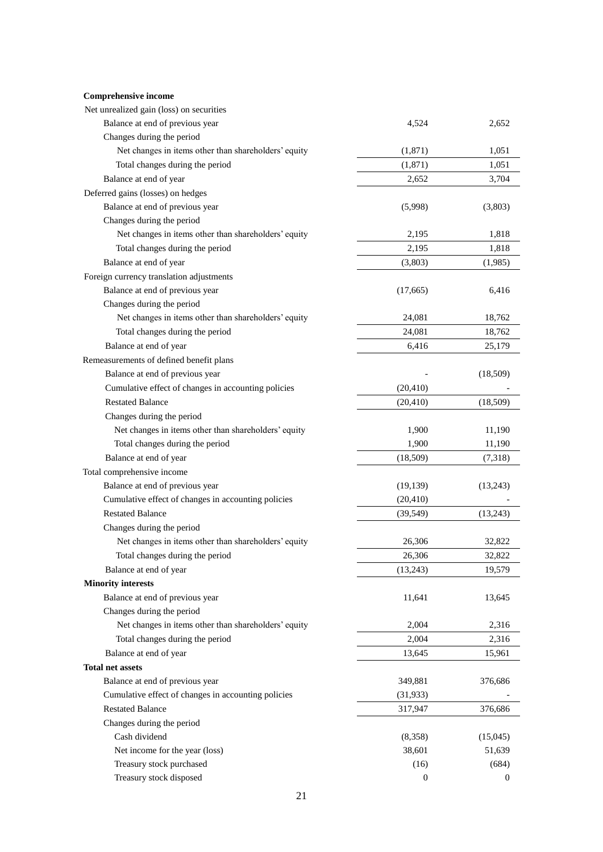| Net unrealized gain (loss) on securities             |                  |                  |
|------------------------------------------------------|------------------|------------------|
| Balance at end of previous year                      | 4,524            | 2,652            |
| Changes during the period                            |                  |                  |
| Net changes in items other than shareholders' equity | (1,871)          | 1,051            |
| Total changes during the period                      | (1, 871)         | 1,051            |
| Balance at end of year                               | 2,652            | 3,704            |
| Deferred gains (losses) on hedges                    |                  |                  |
| Balance at end of previous year                      | (5,998)          | (3,803)          |
| Changes during the period                            |                  |                  |
| Net changes in items other than shareholders' equity | 2,195            | 1,818            |
| Total changes during the period                      | 2,195            | 1,818            |
| Balance at end of year                               | (3,803)          | (1,985)          |
| Foreign currency translation adjustments             |                  |                  |
| Balance at end of previous year                      | (17,665)         | 6,416            |
| Changes during the period                            |                  |                  |
| Net changes in items other than shareholders' equity | 24,081           | 18,762           |
| Total changes during the period                      | 24,081           | 18,762           |
| Balance at end of year                               | 6,416            | 25,179           |
| Remeasurements of defined benefit plans              |                  |                  |
| Balance at end of previous year                      |                  | (18,509)         |
| Cumulative effect of changes in accounting policies  | (20, 410)        |                  |
| <b>Restated Balance</b>                              | (20, 410)        | (18,509)         |
| Changes during the period                            |                  |                  |
| Net changes in items other than shareholders' equity | 1,900            | 11,190           |
| Total changes during the period                      | 1,900            | 11,190           |
| Balance at end of year                               | (18,509)         | (7,318)          |
| Total comprehensive income                           |                  |                  |
| Balance at end of previous year                      | (19, 139)        | (13,243)         |
| Cumulative effect of changes in accounting policies  | (20, 410)        |                  |
| <b>Restated Balance</b>                              | (39, 549)        | (13,243)         |
| Changes during the period                            |                  |                  |
| Net changes in items other than shareholders' equity | 26,306           | 32,822           |
| Total changes during the period                      | 26,306           | 32,822           |
| Balance at end of year                               | (13,243)         | 19,579           |
| <b>Minority interests</b>                            |                  |                  |
| Balance at end of previous year                      | 11,641           | 13,645           |
| Changes during the period                            |                  |                  |
| Net changes in items other than shareholders' equity | 2,004            | 2,316            |
| Total changes during the period                      | 2,004            | 2,316            |
| Balance at end of year                               | 13,645           | 15,961           |
| <b>Total net assets</b>                              |                  |                  |
| Balance at end of previous year                      | 349,881          | 376,686          |
| Cumulative effect of changes in accounting policies  | (31, 933)        |                  |
| <b>Restated Balance</b>                              | 317,947          | 376,686          |
| Changes during the period                            |                  |                  |
| Cash dividend                                        | (8,358)          | (15,045)         |
| Net income for the year (loss)                       | 38,601           | 51,639           |
| Treasury stock purchased                             | (16)             | (684)            |
| Treasury stock disposed                              | $\boldsymbol{0}$ | $\boldsymbol{0}$ |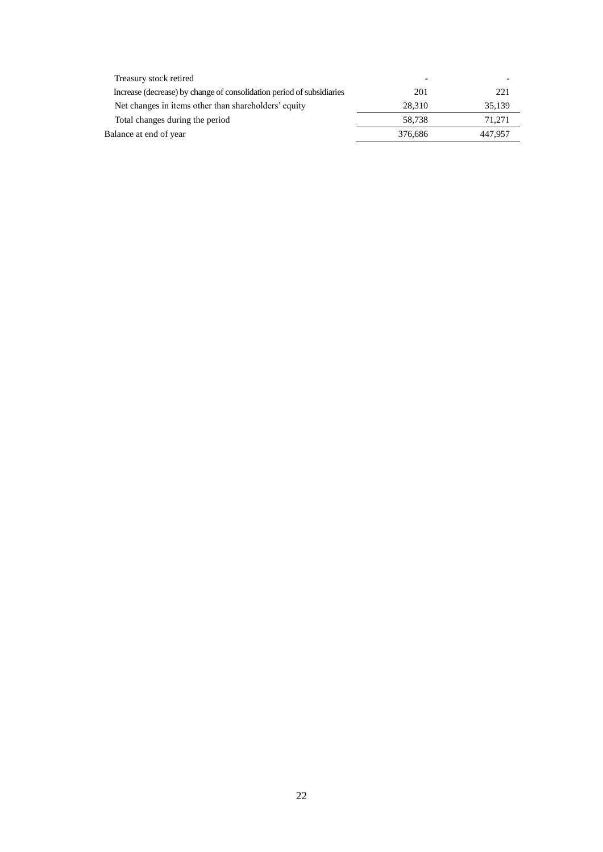| Treasury stock retired                                                |         |         |
|-----------------------------------------------------------------------|---------|---------|
| Increase (decrease) by change of consolidation period of subsidiaries | 201     | 221     |
| Net changes in items other than shareholders' equity                  | 28.310  | 35.139  |
| Total changes during the period                                       | 58.738  | 71.271  |
| Balance at end of year                                                | 376,686 | 447.957 |
|                                                                       |         |         |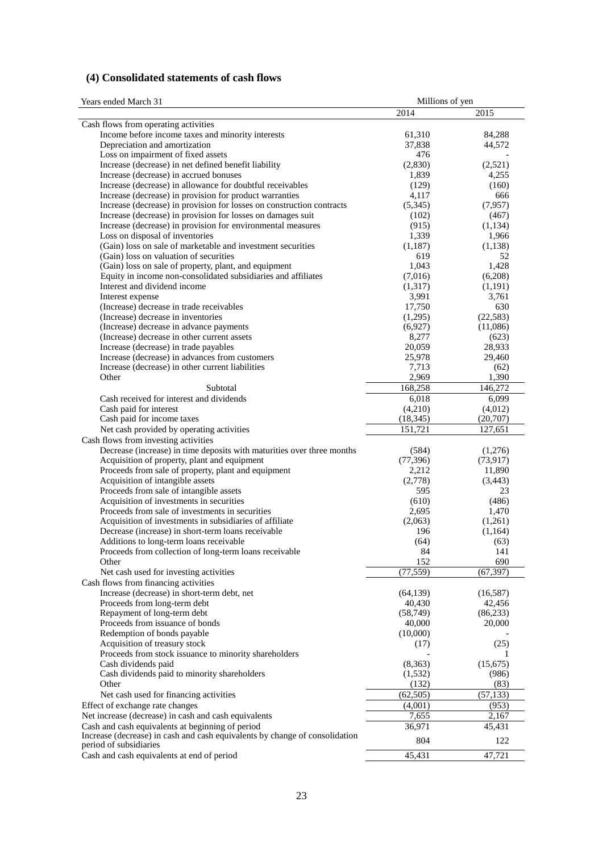# **(4) Consolidated statements of cash flows**

| 2014<br>2015<br>Cash flows from operating activities<br>Income before income taxes and minority interests<br>61,310<br>84,288<br>Depreciation and amortization<br>44,572<br>37,838<br>Loss on impairment of fixed assets<br>476<br>Increase (decrease) in net defined benefit liability<br>(2,830)<br>(2,521)<br>Increase (decrease) in accrued bonuses<br>1,839<br>4,255<br>Increase (decrease) in allowance for doubtful receivables<br>(129)<br>(160)<br>Increase (decrease) in provision for product warranties<br>666<br>4,117<br>(5,345)<br>Increase (decrease) in provision for losses on construction contracts<br>(7,957)<br>Increase (decrease) in provision for losses on damages suit<br>(102)<br>(467)<br>Increase (decrease) in provision for environmental measures<br>(915)<br>(1,134)<br>Loss on disposal of inventories<br>1,339<br>1,966<br>(Gain) loss on sale of marketable and investment securities<br>(1,187)<br>(1,138)<br>(Gain) loss on valuation of securities<br>619<br>52<br>(Gain) loss on sale of property, plant, and equipment<br>1,043<br>1,428<br>Equity in income non-consolidated subsidiaries and affiliates<br>(7,016)<br>(6,208)<br>Interest and dividend income<br>(1,317)<br>(1,191)<br>3,991<br>3,761<br>Interest expense<br>(Increase) decrease in trade receivables<br>17,750<br>630<br>(Increase) decrease in inventories<br>(1,295)<br>(22, 583)<br>(Increase) decrease in advance payments<br>(6,927)<br>(11,086)<br>(Increase) decrease in other current assets<br>8,277<br>(623)<br>Increase (decrease) in trade payables<br>28,933<br>20,059<br>Increase (decrease) in advances from customers<br>25,978<br>29,460<br>Increase (decrease) in other current liabilities<br>7,713<br>(62)<br>Other<br>2,969<br>1,390<br>168,258<br>146,272<br>Subtotal<br>Cash received for interest and dividends<br>6,099<br>6,018<br>Cash paid for interest<br>(4,210)<br>(4,012)<br>(18, 345)<br>Cash paid for income taxes<br>(20,707)<br>151,721<br>Net cash provided by operating activities<br>127,651<br>Cash flows from investing activities<br>Decrease (increase) in time deposits with maturities over three months<br>(584)<br>(1,276)<br>Acquisition of property, plant and equipment<br>(77, 396)<br>(73, 917)<br>Proceeds from sale of property, plant and equipment<br>2,212<br>11,890<br>Acquisition of intangible assets<br>(2,778)<br>(3, 443)<br>Proceeds from sale of intangible assets<br>595<br>23<br>Acquisition of investments in securities<br>(610)<br>(486)<br>Proceeds from sale of investments in securities<br>2,695<br>1,470<br>Acquisition of investments in subsidiaries of affiliate<br>(2,063)<br>(1,261)<br>Decrease (increase) in short-term loans receivable<br>196<br>(1,164)<br>Additions to long-term loans receivable<br>(64)<br>(63)<br>Proceeds from collection of long-term loans receivable<br>84<br>141<br>152<br>690<br>Other<br>(77, 559)<br>(67, 397)<br>Net cash used for investing activities<br>Cash flows from financing activities<br>Increase (decrease) in short-term debt, net<br>(64, 139)<br>(16, 587)<br>Proceeds from long-term debt<br>40,430<br>42,456<br>Repayment of long-term debt<br>(86, 233)<br>(58,749)<br>Proceeds from issuance of bonds<br>40,000<br>20,000<br>Redemption of bonds payable<br>(10,000)<br>Acquisition of treasury stock<br>(17)<br>(25)<br>Proceeds from stock issuance to minority shareholders<br>(8,363)<br>(15,675)<br>Cash dividends paid<br>Cash dividends paid to minority shareholders<br>(1, 532)<br>(986)<br>Other<br>(132)<br>(83)<br>(62, 505)<br>(57, 133)<br>Net cash used for financing activities<br>Effect of exchange rate changes<br>(4,001)<br>(953)<br>Net increase (decrease) in cash and cash equivalents<br>7,655<br>2,167<br>Cash and cash equivalents at beginning of period<br>36,971<br>45,431<br>Increase (decrease) in cash and cash equivalents by change of consolidation<br>804<br>122<br>period of subsidiaries<br>Cash and cash equivalents at end of period<br>45,431<br>47,721 | Years ended March 31 | Millions of yen |  |  |
|----------------------------------------------------------------------------------------------------------------------------------------------------------------------------------------------------------------------------------------------------------------------------------------------------------------------------------------------------------------------------------------------------------------------------------------------------------------------------------------------------------------------------------------------------------------------------------------------------------------------------------------------------------------------------------------------------------------------------------------------------------------------------------------------------------------------------------------------------------------------------------------------------------------------------------------------------------------------------------------------------------------------------------------------------------------------------------------------------------------------------------------------------------------------------------------------------------------------------------------------------------------------------------------------------------------------------------------------------------------------------------------------------------------------------------------------------------------------------------------------------------------------------------------------------------------------------------------------------------------------------------------------------------------------------------------------------------------------------------------------------------------------------------------------------------------------------------------------------------------------------------------------------------------------------------------------------------------------------------------------------------------------------------------------------------------------------------------------------------------------------------------------------------------------------------------------------------------------------------------------------------------------------------------------------------------------------------------------------------------------------------------------------------------------------------------------------------------------------------------------------------------------------------------------------------------------------------------------------------------------------------------------------------------------------------------------------------------------------------------------------------------------------------------------------------------------------------------------------------------------------------------------------------------------------------------------------------------------------------------------------------------------------------------------------------------------------------------------------------------------------------------------------------------------------------------------------------------------------------------------------------------------------------------------------------------------------------------------------------------------------------------------------------------------------------------------------------------------------------------------------------------------------------------------------------------------------------------------------------------------------------------------------------------------------------------------------------------------------------------------------------------------------------------------------------------------------------------------------------------------------------------------------------------------------------------------------------------------------------------------------------------------------------------------------|----------------------|-----------------|--|--|
|                                                                                                                                                                                                                                                                                                                                                                                                                                                                                                                                                                                                                                                                                                                                                                                                                                                                                                                                                                                                                                                                                                                                                                                                                                                                                                                                                                                                                                                                                                                                                                                                                                                                                                                                                                                                                                                                                                                                                                                                                                                                                                                                                                                                                                                                                                                                                                                                                                                                                                                                                                                                                                                                                                                                                                                                                                                                                                                                                                                                                                                                                                                                                                                                                                                                                                                                                                                                                                                                                                                                                                                                                                                                                                                                                                                                                                                                                                                                                                                                                                                    |                      |                 |  |  |
|                                                                                                                                                                                                                                                                                                                                                                                                                                                                                                                                                                                                                                                                                                                                                                                                                                                                                                                                                                                                                                                                                                                                                                                                                                                                                                                                                                                                                                                                                                                                                                                                                                                                                                                                                                                                                                                                                                                                                                                                                                                                                                                                                                                                                                                                                                                                                                                                                                                                                                                                                                                                                                                                                                                                                                                                                                                                                                                                                                                                                                                                                                                                                                                                                                                                                                                                                                                                                                                                                                                                                                                                                                                                                                                                                                                                                                                                                                                                                                                                                                                    |                      |                 |  |  |
|                                                                                                                                                                                                                                                                                                                                                                                                                                                                                                                                                                                                                                                                                                                                                                                                                                                                                                                                                                                                                                                                                                                                                                                                                                                                                                                                                                                                                                                                                                                                                                                                                                                                                                                                                                                                                                                                                                                                                                                                                                                                                                                                                                                                                                                                                                                                                                                                                                                                                                                                                                                                                                                                                                                                                                                                                                                                                                                                                                                                                                                                                                                                                                                                                                                                                                                                                                                                                                                                                                                                                                                                                                                                                                                                                                                                                                                                                                                                                                                                                                                    |                      |                 |  |  |
|                                                                                                                                                                                                                                                                                                                                                                                                                                                                                                                                                                                                                                                                                                                                                                                                                                                                                                                                                                                                                                                                                                                                                                                                                                                                                                                                                                                                                                                                                                                                                                                                                                                                                                                                                                                                                                                                                                                                                                                                                                                                                                                                                                                                                                                                                                                                                                                                                                                                                                                                                                                                                                                                                                                                                                                                                                                                                                                                                                                                                                                                                                                                                                                                                                                                                                                                                                                                                                                                                                                                                                                                                                                                                                                                                                                                                                                                                                                                                                                                                                                    |                      |                 |  |  |
|                                                                                                                                                                                                                                                                                                                                                                                                                                                                                                                                                                                                                                                                                                                                                                                                                                                                                                                                                                                                                                                                                                                                                                                                                                                                                                                                                                                                                                                                                                                                                                                                                                                                                                                                                                                                                                                                                                                                                                                                                                                                                                                                                                                                                                                                                                                                                                                                                                                                                                                                                                                                                                                                                                                                                                                                                                                                                                                                                                                                                                                                                                                                                                                                                                                                                                                                                                                                                                                                                                                                                                                                                                                                                                                                                                                                                                                                                                                                                                                                                                                    |                      |                 |  |  |
|                                                                                                                                                                                                                                                                                                                                                                                                                                                                                                                                                                                                                                                                                                                                                                                                                                                                                                                                                                                                                                                                                                                                                                                                                                                                                                                                                                                                                                                                                                                                                                                                                                                                                                                                                                                                                                                                                                                                                                                                                                                                                                                                                                                                                                                                                                                                                                                                                                                                                                                                                                                                                                                                                                                                                                                                                                                                                                                                                                                                                                                                                                                                                                                                                                                                                                                                                                                                                                                                                                                                                                                                                                                                                                                                                                                                                                                                                                                                                                                                                                                    |                      |                 |  |  |
|                                                                                                                                                                                                                                                                                                                                                                                                                                                                                                                                                                                                                                                                                                                                                                                                                                                                                                                                                                                                                                                                                                                                                                                                                                                                                                                                                                                                                                                                                                                                                                                                                                                                                                                                                                                                                                                                                                                                                                                                                                                                                                                                                                                                                                                                                                                                                                                                                                                                                                                                                                                                                                                                                                                                                                                                                                                                                                                                                                                                                                                                                                                                                                                                                                                                                                                                                                                                                                                                                                                                                                                                                                                                                                                                                                                                                                                                                                                                                                                                                                                    |                      |                 |  |  |
|                                                                                                                                                                                                                                                                                                                                                                                                                                                                                                                                                                                                                                                                                                                                                                                                                                                                                                                                                                                                                                                                                                                                                                                                                                                                                                                                                                                                                                                                                                                                                                                                                                                                                                                                                                                                                                                                                                                                                                                                                                                                                                                                                                                                                                                                                                                                                                                                                                                                                                                                                                                                                                                                                                                                                                                                                                                                                                                                                                                                                                                                                                                                                                                                                                                                                                                                                                                                                                                                                                                                                                                                                                                                                                                                                                                                                                                                                                                                                                                                                                                    |                      |                 |  |  |
|                                                                                                                                                                                                                                                                                                                                                                                                                                                                                                                                                                                                                                                                                                                                                                                                                                                                                                                                                                                                                                                                                                                                                                                                                                                                                                                                                                                                                                                                                                                                                                                                                                                                                                                                                                                                                                                                                                                                                                                                                                                                                                                                                                                                                                                                                                                                                                                                                                                                                                                                                                                                                                                                                                                                                                                                                                                                                                                                                                                                                                                                                                                                                                                                                                                                                                                                                                                                                                                                                                                                                                                                                                                                                                                                                                                                                                                                                                                                                                                                                                                    |                      |                 |  |  |
|                                                                                                                                                                                                                                                                                                                                                                                                                                                                                                                                                                                                                                                                                                                                                                                                                                                                                                                                                                                                                                                                                                                                                                                                                                                                                                                                                                                                                                                                                                                                                                                                                                                                                                                                                                                                                                                                                                                                                                                                                                                                                                                                                                                                                                                                                                                                                                                                                                                                                                                                                                                                                                                                                                                                                                                                                                                                                                                                                                                                                                                                                                                                                                                                                                                                                                                                                                                                                                                                                                                                                                                                                                                                                                                                                                                                                                                                                                                                                                                                                                                    |                      |                 |  |  |
|                                                                                                                                                                                                                                                                                                                                                                                                                                                                                                                                                                                                                                                                                                                                                                                                                                                                                                                                                                                                                                                                                                                                                                                                                                                                                                                                                                                                                                                                                                                                                                                                                                                                                                                                                                                                                                                                                                                                                                                                                                                                                                                                                                                                                                                                                                                                                                                                                                                                                                                                                                                                                                                                                                                                                                                                                                                                                                                                                                                                                                                                                                                                                                                                                                                                                                                                                                                                                                                                                                                                                                                                                                                                                                                                                                                                                                                                                                                                                                                                                                                    |                      |                 |  |  |
|                                                                                                                                                                                                                                                                                                                                                                                                                                                                                                                                                                                                                                                                                                                                                                                                                                                                                                                                                                                                                                                                                                                                                                                                                                                                                                                                                                                                                                                                                                                                                                                                                                                                                                                                                                                                                                                                                                                                                                                                                                                                                                                                                                                                                                                                                                                                                                                                                                                                                                                                                                                                                                                                                                                                                                                                                                                                                                                                                                                                                                                                                                                                                                                                                                                                                                                                                                                                                                                                                                                                                                                                                                                                                                                                                                                                                                                                                                                                                                                                                                                    |                      |                 |  |  |
|                                                                                                                                                                                                                                                                                                                                                                                                                                                                                                                                                                                                                                                                                                                                                                                                                                                                                                                                                                                                                                                                                                                                                                                                                                                                                                                                                                                                                                                                                                                                                                                                                                                                                                                                                                                                                                                                                                                                                                                                                                                                                                                                                                                                                                                                                                                                                                                                                                                                                                                                                                                                                                                                                                                                                                                                                                                                                                                                                                                                                                                                                                                                                                                                                                                                                                                                                                                                                                                                                                                                                                                                                                                                                                                                                                                                                                                                                                                                                                                                                                                    |                      |                 |  |  |
|                                                                                                                                                                                                                                                                                                                                                                                                                                                                                                                                                                                                                                                                                                                                                                                                                                                                                                                                                                                                                                                                                                                                                                                                                                                                                                                                                                                                                                                                                                                                                                                                                                                                                                                                                                                                                                                                                                                                                                                                                                                                                                                                                                                                                                                                                                                                                                                                                                                                                                                                                                                                                                                                                                                                                                                                                                                                                                                                                                                                                                                                                                                                                                                                                                                                                                                                                                                                                                                                                                                                                                                                                                                                                                                                                                                                                                                                                                                                                                                                                                                    |                      |                 |  |  |
|                                                                                                                                                                                                                                                                                                                                                                                                                                                                                                                                                                                                                                                                                                                                                                                                                                                                                                                                                                                                                                                                                                                                                                                                                                                                                                                                                                                                                                                                                                                                                                                                                                                                                                                                                                                                                                                                                                                                                                                                                                                                                                                                                                                                                                                                                                                                                                                                                                                                                                                                                                                                                                                                                                                                                                                                                                                                                                                                                                                                                                                                                                                                                                                                                                                                                                                                                                                                                                                                                                                                                                                                                                                                                                                                                                                                                                                                                                                                                                                                                                                    |                      |                 |  |  |
|                                                                                                                                                                                                                                                                                                                                                                                                                                                                                                                                                                                                                                                                                                                                                                                                                                                                                                                                                                                                                                                                                                                                                                                                                                                                                                                                                                                                                                                                                                                                                                                                                                                                                                                                                                                                                                                                                                                                                                                                                                                                                                                                                                                                                                                                                                                                                                                                                                                                                                                                                                                                                                                                                                                                                                                                                                                                                                                                                                                                                                                                                                                                                                                                                                                                                                                                                                                                                                                                                                                                                                                                                                                                                                                                                                                                                                                                                                                                                                                                                                                    |                      |                 |  |  |
|                                                                                                                                                                                                                                                                                                                                                                                                                                                                                                                                                                                                                                                                                                                                                                                                                                                                                                                                                                                                                                                                                                                                                                                                                                                                                                                                                                                                                                                                                                                                                                                                                                                                                                                                                                                                                                                                                                                                                                                                                                                                                                                                                                                                                                                                                                                                                                                                                                                                                                                                                                                                                                                                                                                                                                                                                                                                                                                                                                                                                                                                                                                                                                                                                                                                                                                                                                                                                                                                                                                                                                                                                                                                                                                                                                                                                                                                                                                                                                                                                                                    |                      |                 |  |  |
|                                                                                                                                                                                                                                                                                                                                                                                                                                                                                                                                                                                                                                                                                                                                                                                                                                                                                                                                                                                                                                                                                                                                                                                                                                                                                                                                                                                                                                                                                                                                                                                                                                                                                                                                                                                                                                                                                                                                                                                                                                                                                                                                                                                                                                                                                                                                                                                                                                                                                                                                                                                                                                                                                                                                                                                                                                                                                                                                                                                                                                                                                                                                                                                                                                                                                                                                                                                                                                                                                                                                                                                                                                                                                                                                                                                                                                                                                                                                                                                                                                                    |                      |                 |  |  |
|                                                                                                                                                                                                                                                                                                                                                                                                                                                                                                                                                                                                                                                                                                                                                                                                                                                                                                                                                                                                                                                                                                                                                                                                                                                                                                                                                                                                                                                                                                                                                                                                                                                                                                                                                                                                                                                                                                                                                                                                                                                                                                                                                                                                                                                                                                                                                                                                                                                                                                                                                                                                                                                                                                                                                                                                                                                                                                                                                                                                                                                                                                                                                                                                                                                                                                                                                                                                                                                                                                                                                                                                                                                                                                                                                                                                                                                                                                                                                                                                                                                    |                      |                 |  |  |
|                                                                                                                                                                                                                                                                                                                                                                                                                                                                                                                                                                                                                                                                                                                                                                                                                                                                                                                                                                                                                                                                                                                                                                                                                                                                                                                                                                                                                                                                                                                                                                                                                                                                                                                                                                                                                                                                                                                                                                                                                                                                                                                                                                                                                                                                                                                                                                                                                                                                                                                                                                                                                                                                                                                                                                                                                                                                                                                                                                                                                                                                                                                                                                                                                                                                                                                                                                                                                                                                                                                                                                                                                                                                                                                                                                                                                                                                                                                                                                                                                                                    |                      |                 |  |  |
|                                                                                                                                                                                                                                                                                                                                                                                                                                                                                                                                                                                                                                                                                                                                                                                                                                                                                                                                                                                                                                                                                                                                                                                                                                                                                                                                                                                                                                                                                                                                                                                                                                                                                                                                                                                                                                                                                                                                                                                                                                                                                                                                                                                                                                                                                                                                                                                                                                                                                                                                                                                                                                                                                                                                                                                                                                                                                                                                                                                                                                                                                                                                                                                                                                                                                                                                                                                                                                                                                                                                                                                                                                                                                                                                                                                                                                                                                                                                                                                                                                                    |                      |                 |  |  |
|                                                                                                                                                                                                                                                                                                                                                                                                                                                                                                                                                                                                                                                                                                                                                                                                                                                                                                                                                                                                                                                                                                                                                                                                                                                                                                                                                                                                                                                                                                                                                                                                                                                                                                                                                                                                                                                                                                                                                                                                                                                                                                                                                                                                                                                                                                                                                                                                                                                                                                                                                                                                                                                                                                                                                                                                                                                                                                                                                                                                                                                                                                                                                                                                                                                                                                                                                                                                                                                                                                                                                                                                                                                                                                                                                                                                                                                                                                                                                                                                                                                    |                      |                 |  |  |
|                                                                                                                                                                                                                                                                                                                                                                                                                                                                                                                                                                                                                                                                                                                                                                                                                                                                                                                                                                                                                                                                                                                                                                                                                                                                                                                                                                                                                                                                                                                                                                                                                                                                                                                                                                                                                                                                                                                                                                                                                                                                                                                                                                                                                                                                                                                                                                                                                                                                                                                                                                                                                                                                                                                                                                                                                                                                                                                                                                                                                                                                                                                                                                                                                                                                                                                                                                                                                                                                                                                                                                                                                                                                                                                                                                                                                                                                                                                                                                                                                                                    |                      |                 |  |  |
|                                                                                                                                                                                                                                                                                                                                                                                                                                                                                                                                                                                                                                                                                                                                                                                                                                                                                                                                                                                                                                                                                                                                                                                                                                                                                                                                                                                                                                                                                                                                                                                                                                                                                                                                                                                                                                                                                                                                                                                                                                                                                                                                                                                                                                                                                                                                                                                                                                                                                                                                                                                                                                                                                                                                                                                                                                                                                                                                                                                                                                                                                                                                                                                                                                                                                                                                                                                                                                                                                                                                                                                                                                                                                                                                                                                                                                                                                                                                                                                                                                                    |                      |                 |  |  |
|                                                                                                                                                                                                                                                                                                                                                                                                                                                                                                                                                                                                                                                                                                                                                                                                                                                                                                                                                                                                                                                                                                                                                                                                                                                                                                                                                                                                                                                                                                                                                                                                                                                                                                                                                                                                                                                                                                                                                                                                                                                                                                                                                                                                                                                                                                                                                                                                                                                                                                                                                                                                                                                                                                                                                                                                                                                                                                                                                                                                                                                                                                                                                                                                                                                                                                                                                                                                                                                                                                                                                                                                                                                                                                                                                                                                                                                                                                                                                                                                                                                    |                      |                 |  |  |
|                                                                                                                                                                                                                                                                                                                                                                                                                                                                                                                                                                                                                                                                                                                                                                                                                                                                                                                                                                                                                                                                                                                                                                                                                                                                                                                                                                                                                                                                                                                                                                                                                                                                                                                                                                                                                                                                                                                                                                                                                                                                                                                                                                                                                                                                                                                                                                                                                                                                                                                                                                                                                                                                                                                                                                                                                                                                                                                                                                                                                                                                                                                                                                                                                                                                                                                                                                                                                                                                                                                                                                                                                                                                                                                                                                                                                                                                                                                                                                                                                                                    |                      |                 |  |  |
|                                                                                                                                                                                                                                                                                                                                                                                                                                                                                                                                                                                                                                                                                                                                                                                                                                                                                                                                                                                                                                                                                                                                                                                                                                                                                                                                                                                                                                                                                                                                                                                                                                                                                                                                                                                                                                                                                                                                                                                                                                                                                                                                                                                                                                                                                                                                                                                                                                                                                                                                                                                                                                                                                                                                                                                                                                                                                                                                                                                                                                                                                                                                                                                                                                                                                                                                                                                                                                                                                                                                                                                                                                                                                                                                                                                                                                                                                                                                                                                                                                                    |                      |                 |  |  |
|                                                                                                                                                                                                                                                                                                                                                                                                                                                                                                                                                                                                                                                                                                                                                                                                                                                                                                                                                                                                                                                                                                                                                                                                                                                                                                                                                                                                                                                                                                                                                                                                                                                                                                                                                                                                                                                                                                                                                                                                                                                                                                                                                                                                                                                                                                                                                                                                                                                                                                                                                                                                                                                                                                                                                                                                                                                                                                                                                                                                                                                                                                                                                                                                                                                                                                                                                                                                                                                                                                                                                                                                                                                                                                                                                                                                                                                                                                                                                                                                                                                    |                      |                 |  |  |
|                                                                                                                                                                                                                                                                                                                                                                                                                                                                                                                                                                                                                                                                                                                                                                                                                                                                                                                                                                                                                                                                                                                                                                                                                                                                                                                                                                                                                                                                                                                                                                                                                                                                                                                                                                                                                                                                                                                                                                                                                                                                                                                                                                                                                                                                                                                                                                                                                                                                                                                                                                                                                                                                                                                                                                                                                                                                                                                                                                                                                                                                                                                                                                                                                                                                                                                                                                                                                                                                                                                                                                                                                                                                                                                                                                                                                                                                                                                                                                                                                                                    |                      |                 |  |  |
|                                                                                                                                                                                                                                                                                                                                                                                                                                                                                                                                                                                                                                                                                                                                                                                                                                                                                                                                                                                                                                                                                                                                                                                                                                                                                                                                                                                                                                                                                                                                                                                                                                                                                                                                                                                                                                                                                                                                                                                                                                                                                                                                                                                                                                                                                                                                                                                                                                                                                                                                                                                                                                                                                                                                                                                                                                                                                                                                                                                                                                                                                                                                                                                                                                                                                                                                                                                                                                                                                                                                                                                                                                                                                                                                                                                                                                                                                                                                                                                                                                                    |                      |                 |  |  |
|                                                                                                                                                                                                                                                                                                                                                                                                                                                                                                                                                                                                                                                                                                                                                                                                                                                                                                                                                                                                                                                                                                                                                                                                                                                                                                                                                                                                                                                                                                                                                                                                                                                                                                                                                                                                                                                                                                                                                                                                                                                                                                                                                                                                                                                                                                                                                                                                                                                                                                                                                                                                                                                                                                                                                                                                                                                                                                                                                                                                                                                                                                                                                                                                                                                                                                                                                                                                                                                                                                                                                                                                                                                                                                                                                                                                                                                                                                                                                                                                                                                    |                      |                 |  |  |
|                                                                                                                                                                                                                                                                                                                                                                                                                                                                                                                                                                                                                                                                                                                                                                                                                                                                                                                                                                                                                                                                                                                                                                                                                                                                                                                                                                                                                                                                                                                                                                                                                                                                                                                                                                                                                                                                                                                                                                                                                                                                                                                                                                                                                                                                                                                                                                                                                                                                                                                                                                                                                                                                                                                                                                                                                                                                                                                                                                                                                                                                                                                                                                                                                                                                                                                                                                                                                                                                                                                                                                                                                                                                                                                                                                                                                                                                                                                                                                                                                                                    |                      |                 |  |  |
|                                                                                                                                                                                                                                                                                                                                                                                                                                                                                                                                                                                                                                                                                                                                                                                                                                                                                                                                                                                                                                                                                                                                                                                                                                                                                                                                                                                                                                                                                                                                                                                                                                                                                                                                                                                                                                                                                                                                                                                                                                                                                                                                                                                                                                                                                                                                                                                                                                                                                                                                                                                                                                                                                                                                                                                                                                                                                                                                                                                                                                                                                                                                                                                                                                                                                                                                                                                                                                                                                                                                                                                                                                                                                                                                                                                                                                                                                                                                                                                                                                                    |                      |                 |  |  |
|                                                                                                                                                                                                                                                                                                                                                                                                                                                                                                                                                                                                                                                                                                                                                                                                                                                                                                                                                                                                                                                                                                                                                                                                                                                                                                                                                                                                                                                                                                                                                                                                                                                                                                                                                                                                                                                                                                                                                                                                                                                                                                                                                                                                                                                                                                                                                                                                                                                                                                                                                                                                                                                                                                                                                                                                                                                                                                                                                                                                                                                                                                                                                                                                                                                                                                                                                                                                                                                                                                                                                                                                                                                                                                                                                                                                                                                                                                                                                                                                                                                    |                      |                 |  |  |
|                                                                                                                                                                                                                                                                                                                                                                                                                                                                                                                                                                                                                                                                                                                                                                                                                                                                                                                                                                                                                                                                                                                                                                                                                                                                                                                                                                                                                                                                                                                                                                                                                                                                                                                                                                                                                                                                                                                                                                                                                                                                                                                                                                                                                                                                                                                                                                                                                                                                                                                                                                                                                                                                                                                                                                                                                                                                                                                                                                                                                                                                                                                                                                                                                                                                                                                                                                                                                                                                                                                                                                                                                                                                                                                                                                                                                                                                                                                                                                                                                                                    |                      |                 |  |  |
|                                                                                                                                                                                                                                                                                                                                                                                                                                                                                                                                                                                                                                                                                                                                                                                                                                                                                                                                                                                                                                                                                                                                                                                                                                                                                                                                                                                                                                                                                                                                                                                                                                                                                                                                                                                                                                                                                                                                                                                                                                                                                                                                                                                                                                                                                                                                                                                                                                                                                                                                                                                                                                                                                                                                                                                                                                                                                                                                                                                                                                                                                                                                                                                                                                                                                                                                                                                                                                                                                                                                                                                                                                                                                                                                                                                                                                                                                                                                                                                                                                                    |                      |                 |  |  |
|                                                                                                                                                                                                                                                                                                                                                                                                                                                                                                                                                                                                                                                                                                                                                                                                                                                                                                                                                                                                                                                                                                                                                                                                                                                                                                                                                                                                                                                                                                                                                                                                                                                                                                                                                                                                                                                                                                                                                                                                                                                                                                                                                                                                                                                                                                                                                                                                                                                                                                                                                                                                                                                                                                                                                                                                                                                                                                                                                                                                                                                                                                                                                                                                                                                                                                                                                                                                                                                                                                                                                                                                                                                                                                                                                                                                                                                                                                                                                                                                                                                    |                      |                 |  |  |
|                                                                                                                                                                                                                                                                                                                                                                                                                                                                                                                                                                                                                                                                                                                                                                                                                                                                                                                                                                                                                                                                                                                                                                                                                                                                                                                                                                                                                                                                                                                                                                                                                                                                                                                                                                                                                                                                                                                                                                                                                                                                                                                                                                                                                                                                                                                                                                                                                                                                                                                                                                                                                                                                                                                                                                                                                                                                                                                                                                                                                                                                                                                                                                                                                                                                                                                                                                                                                                                                                                                                                                                                                                                                                                                                                                                                                                                                                                                                                                                                                                                    |                      |                 |  |  |
|                                                                                                                                                                                                                                                                                                                                                                                                                                                                                                                                                                                                                                                                                                                                                                                                                                                                                                                                                                                                                                                                                                                                                                                                                                                                                                                                                                                                                                                                                                                                                                                                                                                                                                                                                                                                                                                                                                                                                                                                                                                                                                                                                                                                                                                                                                                                                                                                                                                                                                                                                                                                                                                                                                                                                                                                                                                                                                                                                                                                                                                                                                                                                                                                                                                                                                                                                                                                                                                                                                                                                                                                                                                                                                                                                                                                                                                                                                                                                                                                                                                    |                      |                 |  |  |
|                                                                                                                                                                                                                                                                                                                                                                                                                                                                                                                                                                                                                                                                                                                                                                                                                                                                                                                                                                                                                                                                                                                                                                                                                                                                                                                                                                                                                                                                                                                                                                                                                                                                                                                                                                                                                                                                                                                                                                                                                                                                                                                                                                                                                                                                                                                                                                                                                                                                                                                                                                                                                                                                                                                                                                                                                                                                                                                                                                                                                                                                                                                                                                                                                                                                                                                                                                                                                                                                                                                                                                                                                                                                                                                                                                                                                                                                                                                                                                                                                                                    |                      |                 |  |  |
|                                                                                                                                                                                                                                                                                                                                                                                                                                                                                                                                                                                                                                                                                                                                                                                                                                                                                                                                                                                                                                                                                                                                                                                                                                                                                                                                                                                                                                                                                                                                                                                                                                                                                                                                                                                                                                                                                                                                                                                                                                                                                                                                                                                                                                                                                                                                                                                                                                                                                                                                                                                                                                                                                                                                                                                                                                                                                                                                                                                                                                                                                                                                                                                                                                                                                                                                                                                                                                                                                                                                                                                                                                                                                                                                                                                                                                                                                                                                                                                                                                                    |                      |                 |  |  |
|                                                                                                                                                                                                                                                                                                                                                                                                                                                                                                                                                                                                                                                                                                                                                                                                                                                                                                                                                                                                                                                                                                                                                                                                                                                                                                                                                                                                                                                                                                                                                                                                                                                                                                                                                                                                                                                                                                                                                                                                                                                                                                                                                                                                                                                                                                                                                                                                                                                                                                                                                                                                                                                                                                                                                                                                                                                                                                                                                                                                                                                                                                                                                                                                                                                                                                                                                                                                                                                                                                                                                                                                                                                                                                                                                                                                                                                                                                                                                                                                                                                    |                      |                 |  |  |
|                                                                                                                                                                                                                                                                                                                                                                                                                                                                                                                                                                                                                                                                                                                                                                                                                                                                                                                                                                                                                                                                                                                                                                                                                                                                                                                                                                                                                                                                                                                                                                                                                                                                                                                                                                                                                                                                                                                                                                                                                                                                                                                                                                                                                                                                                                                                                                                                                                                                                                                                                                                                                                                                                                                                                                                                                                                                                                                                                                                                                                                                                                                                                                                                                                                                                                                                                                                                                                                                                                                                                                                                                                                                                                                                                                                                                                                                                                                                                                                                                                                    |                      |                 |  |  |
|                                                                                                                                                                                                                                                                                                                                                                                                                                                                                                                                                                                                                                                                                                                                                                                                                                                                                                                                                                                                                                                                                                                                                                                                                                                                                                                                                                                                                                                                                                                                                                                                                                                                                                                                                                                                                                                                                                                                                                                                                                                                                                                                                                                                                                                                                                                                                                                                                                                                                                                                                                                                                                                                                                                                                                                                                                                                                                                                                                                                                                                                                                                                                                                                                                                                                                                                                                                                                                                                                                                                                                                                                                                                                                                                                                                                                                                                                                                                                                                                                                                    |                      |                 |  |  |
|                                                                                                                                                                                                                                                                                                                                                                                                                                                                                                                                                                                                                                                                                                                                                                                                                                                                                                                                                                                                                                                                                                                                                                                                                                                                                                                                                                                                                                                                                                                                                                                                                                                                                                                                                                                                                                                                                                                                                                                                                                                                                                                                                                                                                                                                                                                                                                                                                                                                                                                                                                                                                                                                                                                                                                                                                                                                                                                                                                                                                                                                                                                                                                                                                                                                                                                                                                                                                                                                                                                                                                                                                                                                                                                                                                                                                                                                                                                                                                                                                                                    |                      |                 |  |  |
|                                                                                                                                                                                                                                                                                                                                                                                                                                                                                                                                                                                                                                                                                                                                                                                                                                                                                                                                                                                                                                                                                                                                                                                                                                                                                                                                                                                                                                                                                                                                                                                                                                                                                                                                                                                                                                                                                                                                                                                                                                                                                                                                                                                                                                                                                                                                                                                                                                                                                                                                                                                                                                                                                                                                                                                                                                                                                                                                                                                                                                                                                                                                                                                                                                                                                                                                                                                                                                                                                                                                                                                                                                                                                                                                                                                                                                                                                                                                                                                                                                                    |                      |                 |  |  |
|                                                                                                                                                                                                                                                                                                                                                                                                                                                                                                                                                                                                                                                                                                                                                                                                                                                                                                                                                                                                                                                                                                                                                                                                                                                                                                                                                                                                                                                                                                                                                                                                                                                                                                                                                                                                                                                                                                                                                                                                                                                                                                                                                                                                                                                                                                                                                                                                                                                                                                                                                                                                                                                                                                                                                                                                                                                                                                                                                                                                                                                                                                                                                                                                                                                                                                                                                                                                                                                                                                                                                                                                                                                                                                                                                                                                                                                                                                                                                                                                                                                    |                      |                 |  |  |
|                                                                                                                                                                                                                                                                                                                                                                                                                                                                                                                                                                                                                                                                                                                                                                                                                                                                                                                                                                                                                                                                                                                                                                                                                                                                                                                                                                                                                                                                                                                                                                                                                                                                                                                                                                                                                                                                                                                                                                                                                                                                                                                                                                                                                                                                                                                                                                                                                                                                                                                                                                                                                                                                                                                                                                                                                                                                                                                                                                                                                                                                                                                                                                                                                                                                                                                                                                                                                                                                                                                                                                                                                                                                                                                                                                                                                                                                                                                                                                                                                                                    |                      |                 |  |  |
|                                                                                                                                                                                                                                                                                                                                                                                                                                                                                                                                                                                                                                                                                                                                                                                                                                                                                                                                                                                                                                                                                                                                                                                                                                                                                                                                                                                                                                                                                                                                                                                                                                                                                                                                                                                                                                                                                                                                                                                                                                                                                                                                                                                                                                                                                                                                                                                                                                                                                                                                                                                                                                                                                                                                                                                                                                                                                                                                                                                                                                                                                                                                                                                                                                                                                                                                                                                                                                                                                                                                                                                                                                                                                                                                                                                                                                                                                                                                                                                                                                                    |                      |                 |  |  |
|                                                                                                                                                                                                                                                                                                                                                                                                                                                                                                                                                                                                                                                                                                                                                                                                                                                                                                                                                                                                                                                                                                                                                                                                                                                                                                                                                                                                                                                                                                                                                                                                                                                                                                                                                                                                                                                                                                                                                                                                                                                                                                                                                                                                                                                                                                                                                                                                                                                                                                                                                                                                                                                                                                                                                                                                                                                                                                                                                                                                                                                                                                                                                                                                                                                                                                                                                                                                                                                                                                                                                                                                                                                                                                                                                                                                                                                                                                                                                                                                                                                    |                      |                 |  |  |
|                                                                                                                                                                                                                                                                                                                                                                                                                                                                                                                                                                                                                                                                                                                                                                                                                                                                                                                                                                                                                                                                                                                                                                                                                                                                                                                                                                                                                                                                                                                                                                                                                                                                                                                                                                                                                                                                                                                                                                                                                                                                                                                                                                                                                                                                                                                                                                                                                                                                                                                                                                                                                                                                                                                                                                                                                                                                                                                                                                                                                                                                                                                                                                                                                                                                                                                                                                                                                                                                                                                                                                                                                                                                                                                                                                                                                                                                                                                                                                                                                                                    |                      |                 |  |  |
|                                                                                                                                                                                                                                                                                                                                                                                                                                                                                                                                                                                                                                                                                                                                                                                                                                                                                                                                                                                                                                                                                                                                                                                                                                                                                                                                                                                                                                                                                                                                                                                                                                                                                                                                                                                                                                                                                                                                                                                                                                                                                                                                                                                                                                                                                                                                                                                                                                                                                                                                                                                                                                                                                                                                                                                                                                                                                                                                                                                                                                                                                                                                                                                                                                                                                                                                                                                                                                                                                                                                                                                                                                                                                                                                                                                                                                                                                                                                                                                                                                                    |                      |                 |  |  |
|                                                                                                                                                                                                                                                                                                                                                                                                                                                                                                                                                                                                                                                                                                                                                                                                                                                                                                                                                                                                                                                                                                                                                                                                                                                                                                                                                                                                                                                                                                                                                                                                                                                                                                                                                                                                                                                                                                                                                                                                                                                                                                                                                                                                                                                                                                                                                                                                                                                                                                                                                                                                                                                                                                                                                                                                                                                                                                                                                                                                                                                                                                                                                                                                                                                                                                                                                                                                                                                                                                                                                                                                                                                                                                                                                                                                                                                                                                                                                                                                                                                    |                      |                 |  |  |
|                                                                                                                                                                                                                                                                                                                                                                                                                                                                                                                                                                                                                                                                                                                                                                                                                                                                                                                                                                                                                                                                                                                                                                                                                                                                                                                                                                                                                                                                                                                                                                                                                                                                                                                                                                                                                                                                                                                                                                                                                                                                                                                                                                                                                                                                                                                                                                                                                                                                                                                                                                                                                                                                                                                                                                                                                                                                                                                                                                                                                                                                                                                                                                                                                                                                                                                                                                                                                                                                                                                                                                                                                                                                                                                                                                                                                                                                                                                                                                                                                                                    |                      |                 |  |  |
|                                                                                                                                                                                                                                                                                                                                                                                                                                                                                                                                                                                                                                                                                                                                                                                                                                                                                                                                                                                                                                                                                                                                                                                                                                                                                                                                                                                                                                                                                                                                                                                                                                                                                                                                                                                                                                                                                                                                                                                                                                                                                                                                                                                                                                                                                                                                                                                                                                                                                                                                                                                                                                                                                                                                                                                                                                                                                                                                                                                                                                                                                                                                                                                                                                                                                                                                                                                                                                                                                                                                                                                                                                                                                                                                                                                                                                                                                                                                                                                                                                                    |                      |                 |  |  |
|                                                                                                                                                                                                                                                                                                                                                                                                                                                                                                                                                                                                                                                                                                                                                                                                                                                                                                                                                                                                                                                                                                                                                                                                                                                                                                                                                                                                                                                                                                                                                                                                                                                                                                                                                                                                                                                                                                                                                                                                                                                                                                                                                                                                                                                                                                                                                                                                                                                                                                                                                                                                                                                                                                                                                                                                                                                                                                                                                                                                                                                                                                                                                                                                                                                                                                                                                                                                                                                                                                                                                                                                                                                                                                                                                                                                                                                                                                                                                                                                                                                    |                      |                 |  |  |
|                                                                                                                                                                                                                                                                                                                                                                                                                                                                                                                                                                                                                                                                                                                                                                                                                                                                                                                                                                                                                                                                                                                                                                                                                                                                                                                                                                                                                                                                                                                                                                                                                                                                                                                                                                                                                                                                                                                                                                                                                                                                                                                                                                                                                                                                                                                                                                                                                                                                                                                                                                                                                                                                                                                                                                                                                                                                                                                                                                                                                                                                                                                                                                                                                                                                                                                                                                                                                                                                                                                                                                                                                                                                                                                                                                                                                                                                                                                                                                                                                                                    |                      |                 |  |  |
|                                                                                                                                                                                                                                                                                                                                                                                                                                                                                                                                                                                                                                                                                                                                                                                                                                                                                                                                                                                                                                                                                                                                                                                                                                                                                                                                                                                                                                                                                                                                                                                                                                                                                                                                                                                                                                                                                                                                                                                                                                                                                                                                                                                                                                                                                                                                                                                                                                                                                                                                                                                                                                                                                                                                                                                                                                                                                                                                                                                                                                                                                                                                                                                                                                                                                                                                                                                                                                                                                                                                                                                                                                                                                                                                                                                                                                                                                                                                                                                                                                                    |                      |                 |  |  |
|                                                                                                                                                                                                                                                                                                                                                                                                                                                                                                                                                                                                                                                                                                                                                                                                                                                                                                                                                                                                                                                                                                                                                                                                                                                                                                                                                                                                                                                                                                                                                                                                                                                                                                                                                                                                                                                                                                                                                                                                                                                                                                                                                                                                                                                                                                                                                                                                                                                                                                                                                                                                                                                                                                                                                                                                                                                                                                                                                                                                                                                                                                                                                                                                                                                                                                                                                                                                                                                                                                                                                                                                                                                                                                                                                                                                                                                                                                                                                                                                                                                    |                      |                 |  |  |
|                                                                                                                                                                                                                                                                                                                                                                                                                                                                                                                                                                                                                                                                                                                                                                                                                                                                                                                                                                                                                                                                                                                                                                                                                                                                                                                                                                                                                                                                                                                                                                                                                                                                                                                                                                                                                                                                                                                                                                                                                                                                                                                                                                                                                                                                                                                                                                                                                                                                                                                                                                                                                                                                                                                                                                                                                                                                                                                                                                                                                                                                                                                                                                                                                                                                                                                                                                                                                                                                                                                                                                                                                                                                                                                                                                                                                                                                                                                                                                                                                                                    |                      |                 |  |  |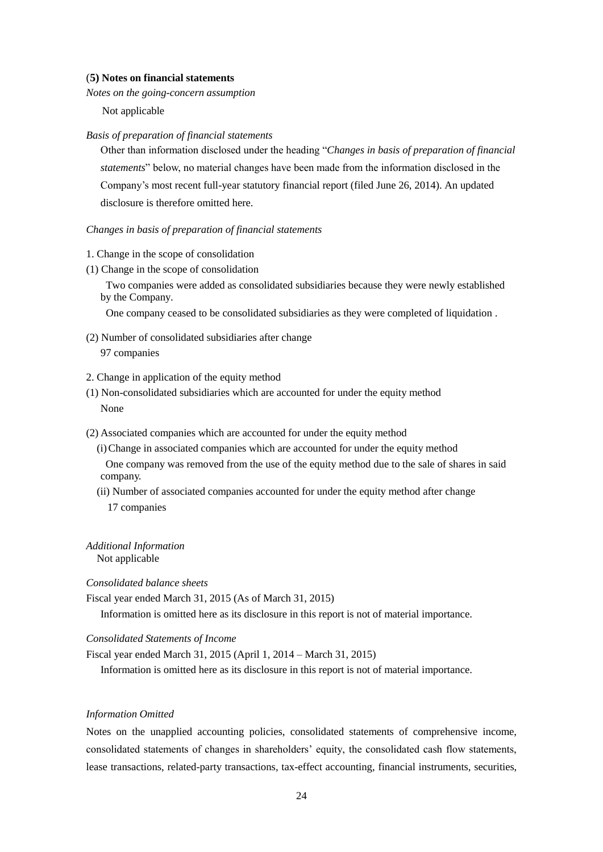#### (**5) Notes on financial statements**

*Notes on the going-concern assumption* 

Not applicable

#### *Basis of preparation of financial statements*

Other than information disclosed under the heading "*Changes in basis of preparation of financial statements*" below, no material changes have been made from the information disclosed in the Company's most recent full-year statutory financial report (filed June 26, 2014). An updated disclosure is therefore omitted here.

### *Changes in basis of preparation of financial statements*

- 1. Change in the scope of consolidation
- (1) Change in the scope of consolidation

Two companies were added as consolidated subsidiaries because they were newly established by the Company.

One company ceased to be consolidated subsidiaries as they were completed of liquidation .

(2) Number of consolidated subsidiaries after change

```
97 companies
```
- 2. Change in application of the equity method
- (1) Non-consolidated subsidiaries which are accounted for under the equity method None
- (2) Associated companies which are accounted for under the equity method
	- (i)Change in associated companies which are accounted for under the equity method One company was removed from the use of the equity method due to the sale of shares in said company.
	- (ii) Number of associated companies accounted for under the equity method after change 17 companies

*Additional Information*

Not applicable

*Consolidated balance sheets*

Fiscal year ended March 31, 2015 (As of March 31, 2015)

Information is omitted here as its disclosure in this report is not of material importance.

*Consolidated Statements of Income*

Fiscal year ended March 31, 2015 (April 1, 2014 – March 31, 2015)

Information is omitted here as its disclosure in this report is not of material importance.

### *Information Omitted*

Notes on the unapplied accounting policies, consolidated statements of comprehensive income, consolidated statements of changes in shareholders' equity, the consolidated cash flow statements, lease transactions, related-party transactions, tax-effect accounting, financial instruments, securities,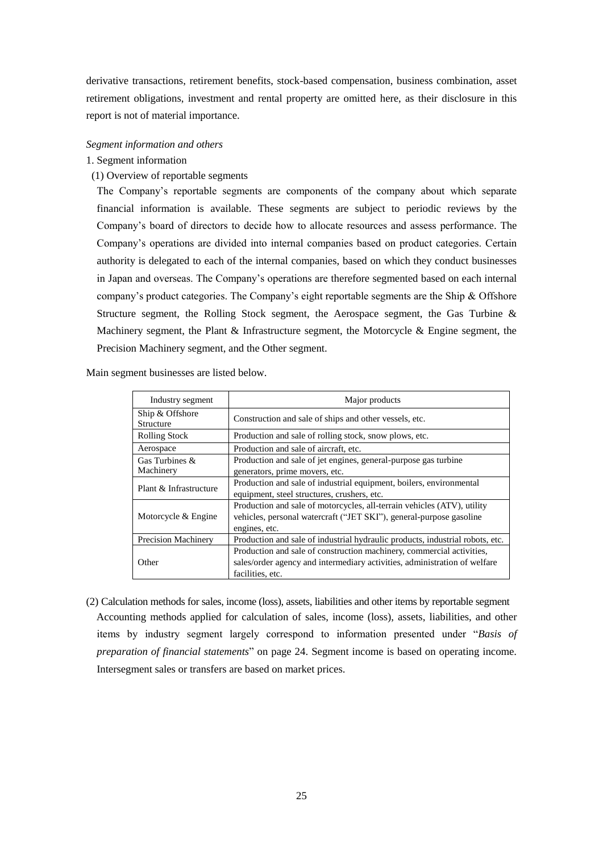derivative transactions, retirement benefits, stock-based compensation, business combination, asset retirement obligations, investment and rental property are omitted here, as their disclosure in this report is not of material importance.

### *Segment information and others*

# 1. Segment information

(1) Overview of reportable segments

The Company's reportable segments are components of the company about which separate financial information is available. These segments are subject to periodic reviews by the Company's board of directors to decide how to allocate resources and assess performance. The Company's operations are divided into internal companies based on product categories. Certain authority is delegated to each of the internal companies, based on which they conduct businesses in Japan and overseas. The Company's operations are therefore segmented based on each internal company's product categories. The Company's eight reportable segments are the Ship & Offshore Structure segment, the Rolling Stock segment, the Aerospace segment, the Gas Turbine & Machinery segment, the Plant  $\&$  Infrastructure segment, the Motorcycle  $\&$  Engine segment, the Precision Machinery segment, and the Other segment.

Main segment businesses are listed below.

| Industry segment             | Major products                                                                                                                                                         |
|------------------------------|------------------------------------------------------------------------------------------------------------------------------------------------------------------------|
| Ship & Offshore<br>Structure | Construction and sale of ships and other vessels, etc.                                                                                                                 |
| <b>Rolling Stock</b>         | Production and sale of rolling stock, snow plows, etc.                                                                                                                 |
| Aerospace                    | Production and sale of aircraft, etc.                                                                                                                                  |
| Gas Turbines &<br>Machinery  | Production and sale of jet engines, general-purpose gas turbine<br>generators, prime movers, etc.                                                                      |
| Plant & Infrastructure       | Production and sale of industrial equipment, boilers, environmental<br>equipment, steel structures, crushers, etc.                                                     |
| Motorcycle & Engine          | Production and sale of motorcycles, all-terrain vehicles (ATV), utility<br>vehicles, personal watercraft ("JET SKI"), general-purpose gasoline<br>engines, etc.        |
| <b>Precision Machinery</b>   | Production and sale of industrial hydraulic products, industrial robots, etc.                                                                                          |
| Other                        | Production and sale of construction machinery, commercial activities,<br>sales/order agency and intermediary activities, administration of welfare<br>facilities, etc. |

(2) Calculation methods for sales, income (loss), assets, liabilities and other items by reportable segment Accounting methods applied for calculation of sales, income (loss), assets, liabilities, and other items by industry segment largely correspond to information presented under "*Basis of preparation of financial statements*" on page 24. Segment income is based on operating income. Intersegment sales or transfers are based on market prices.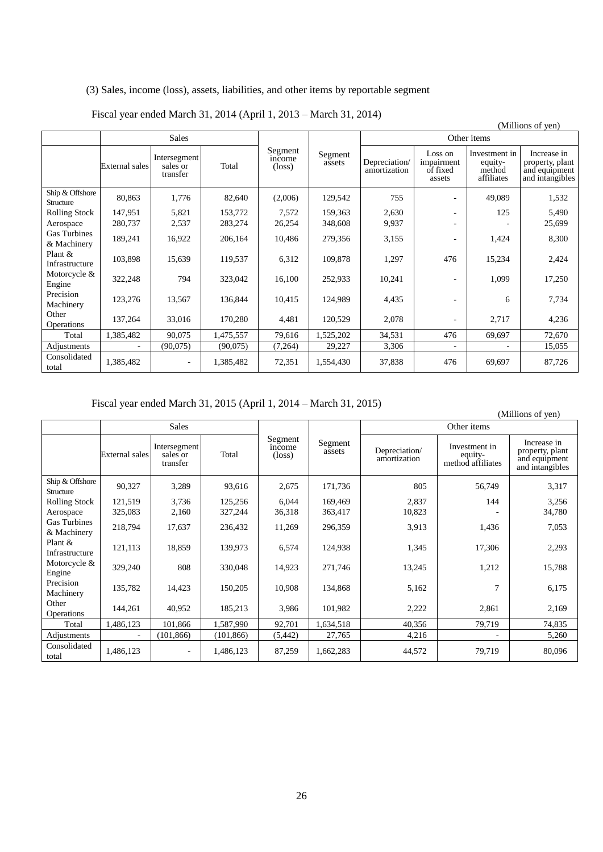# (3) Sales, income (loss), assets, liabilities, and other items by reportable segment

|                                    |                |                                      |           |                                      |                   |                               |                                             |                                                  | (Millions of yen)                                                  |
|------------------------------------|----------------|--------------------------------------|-----------|--------------------------------------|-------------------|-------------------------------|---------------------------------------------|--------------------------------------------------|--------------------------------------------------------------------|
|                                    |                | <b>Sales</b>                         |           |                                      |                   |                               |                                             | Other items                                      |                                                                    |
|                                    | External sales | Intersegment<br>sales or<br>transfer | Total     | Segment<br>income<br>$(\text{loss})$ | Segment<br>assets | Depreciation/<br>amortization | Loss on<br>impairment<br>of fixed<br>assets | Investment in<br>equity-<br>method<br>affiliates | Increase in<br>property, plant<br>and equipment<br>and intangibles |
| Ship & Offshore<br>Structure       | 80,863         | 1,776                                | 82,640    | (2,006)                              | 129,542           | 755                           |                                             | 49,089                                           | 1,532                                                              |
| Rolling Stock                      | 147,951        | 5,821                                | 153,772   | 7,572                                | 159,363           | 2,630                         |                                             | 125                                              | 5,490                                                              |
| Aerospace                          | 280,737        | 2,537                                | 283,274   | 26,254                               | 348,608           | 9,937                         |                                             |                                                  | 25,699                                                             |
| <b>Gas Turbines</b><br>& Machinery | 189,241        | 16,922                               | 206,164   | 10,486                               | 279,356           | 3,155                         |                                             | 1,424                                            | 8,300                                                              |
| Plant &<br>Infrastructure          | 103,898        | 15,639                               | 119,537   | 6,312                                | 109,878           | 1,297                         | 476                                         | 15,234                                           | 2,424                                                              |
| Motorcycle &<br>Engine             | 322,248        | 794                                  | 323,042   | 16,100                               | 252,933           | 10,241                        |                                             | 1,099                                            | 17,250                                                             |
| Precision<br>Machinery             | 123,276        | 13,567                               | 136,844   | 10,415                               | 124,989           | 4,435                         |                                             | 6                                                | 7,734                                                              |
| Other<br>Operations                | 137,264        | 33,016                               | 170,280   | 4,481                                | 120,529           | 2,078                         |                                             | 2,717                                            | 4,236                                                              |
| Total                              | 1,385,482      | 90,075                               | 1,475,557 | 79,616                               | 1,525,202         | 34,531                        | 476                                         | 69,697                                           | 72,670                                                             |
| Adjustments                        |                | (90,075)                             | (90,075)  | (7,264)                              | 29,227            | 3,306                         |                                             |                                                  | 15,055                                                             |
| Consolidated<br>total              | 1,385,482      | $\overline{\phantom{a}}$             | 1,385,482 | 72,351                               | 1,554,430         | 37,838                        | 476                                         | 69,697                                           | 87,726                                                             |

# Fiscal year ended March 31, 2014 (April 1, 2013 – March 31, 2014)

Fiscal year ended March 31, 2015 (April 1, 2014 – March 31, 2015)

|                                    |                |                                      |            |                                      |                   |                               |                                               | (Millions of yen)                                                  |
|------------------------------------|----------------|--------------------------------------|------------|--------------------------------------|-------------------|-------------------------------|-----------------------------------------------|--------------------------------------------------------------------|
|                                    |                | <b>Sales</b>                         |            |                                      |                   |                               | Other items                                   |                                                                    |
|                                    | External sales | Intersegment<br>sales or<br>transfer | Total      | Segment<br>income<br>$(\text{loss})$ | Segment<br>assets | Depreciation/<br>amortization | Investment in<br>equity-<br>method affiliates | Increase in<br>property, plant<br>and equipment<br>and intangibles |
| Ship & Offshore<br>Structure       | 90,327         | 3,289                                | 93,616     | 2,675                                | 171,736           | 805                           | 56,749                                        | 3,317                                                              |
| Rolling Stock                      | 121,519        | 3,736                                | 125,256    | 6,044                                | 169,469           | 2,837                         | 144                                           | 3,256                                                              |
| Aerospace                          | 325,083        | 2,160                                | 327,244    | 36,318                               | 363,417           | 10,823                        |                                               | 34,780                                                             |
| <b>Gas Turbines</b><br>& Machinery | 218,794        | 17,637                               | 236,432    | 11,269                               | 296,359           | 3,913                         | 1,436                                         | 7,053                                                              |
| Plant &<br>Infrastructure          | 121,113        | 18,859                               | 139,973    | 6,574                                | 124,938           | 1,345                         | 17,306                                        | 2,293                                                              |
| Motorcycle &<br>Engine             | 329,240        | 808                                  | 330,048    | 14,923                               | 271,746           | 13,245                        | 1,212                                         | 15,788                                                             |
| Precision<br>Machinery             | 135,782        | 14,423                               | 150,205    | 10,908                               | 134,868           | 5,162                         | 7                                             | 6,175                                                              |
| Other<br>Operations                | 144,261        | 40,952                               | 185,213    | 3,986                                | 101,982           | 2,222                         | 2,861                                         | 2,169                                                              |
| Total                              | 1,486,123      | 101,866                              | 1,587,990  | 92,701                               | 1,634,518         | 40,356                        | 79,719                                        | 74,835                                                             |
| Adjustments                        |                | (101, 866)                           | (101, 866) | (5, 442)                             | 27,765            | 4,216                         |                                               | 5,260                                                              |
| Consolidated<br>total              | 1,486,123      |                                      | 1,486,123  | 87,259                               | 1,662,283         | 44,572                        | 79,719                                        | 80,096                                                             |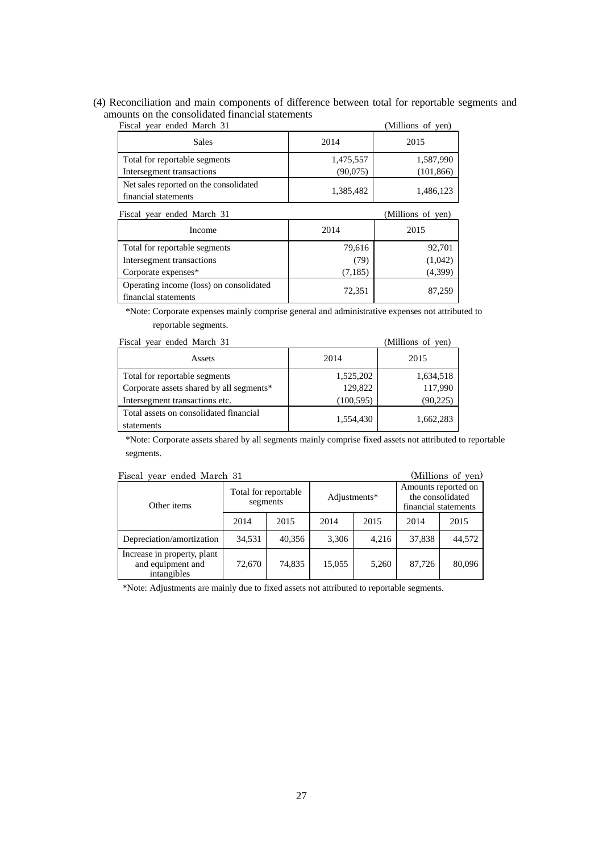# (4) Reconciliation and main components of difference between total for reportable segments and amounts on the consolidated financial statements

| Fiscal year ended March 31             |           | (Millions of yen) |
|----------------------------------------|-----------|-------------------|
| <b>Sales</b>                           | 2014      | 2015              |
| Total for reportable segments          | 1,475,557 | 1,587,990         |
| Intersegment transactions              | (90,075)  | (101, 866)        |
| Net sales reported on the consolidated | 1,385,482 | 1,486,123         |
| financial statements                   |           |                   |

| Fiscal year ended March 31                                      | (Millions of yen) |          |
|-----------------------------------------------------------------|-------------------|----------|
| Income                                                          | 2014              | 2015     |
| Total for reportable segments                                   | 79,616            | 92,701   |
| Intersegment transactions                                       | (79)              | (1,042)  |
| Corporate expenses*                                             | (7,185)           | (4, 399) |
| Operating income (loss) on consolidated<br>financial statements | 72,351            | 87,259   |

\*Note: Corporate expenses mainly comprise general and administrative expenses not attributed to reportable segments.

| Fiscal year ended March 31                           | (Millions of yen) |           |  |
|------------------------------------------------------|-------------------|-----------|--|
| Assets                                               | 2014              | 2015      |  |
| Total for reportable segments                        | 1,525,202         | 1,634,518 |  |
| Corporate assets shared by all segments*             | 129,822           | 117,990   |  |
| Intersegment transactions etc.                       | (100, 595)        | (90, 225) |  |
| Total assets on consolidated financial<br>statements | 1,554,430         | 1,662,283 |  |

\*Note: Corporate assets shared by all segments mainly comprise fixed assets not attributed to reportable segments.

|  |  |  |  | Fiscal year ended March 31 |  |
|--|--|--|--|----------------------------|--|
|--|--|--|--|----------------------------|--|

| (Millions of yen)<br>Fiscal year ended March 31                 |                                  |        |              |       |                                                                 |        |  |  |
|-----------------------------------------------------------------|----------------------------------|--------|--------------|-------|-----------------------------------------------------------------|--------|--|--|
| Other items                                                     | Total for reportable<br>segments |        | Adjustments* |       | Amounts reported on<br>the consolidated<br>financial statements |        |  |  |
|                                                                 | 2014                             | 2015   | 2014         | 2015  | 2014                                                            | 2015   |  |  |
| Depreciation/amortization                                       | 34,531                           | 40,356 | 3,306        | 4,216 | 37,838                                                          | 44,572 |  |  |
| Increase in property, plant<br>and equipment and<br>intangibles | 72,670                           | 74,835 | 15,055       | 5,260 | 87,726                                                          | 80,096 |  |  |

\*Note: Adjustments are mainly due to fixed assets not attributed to reportable segments.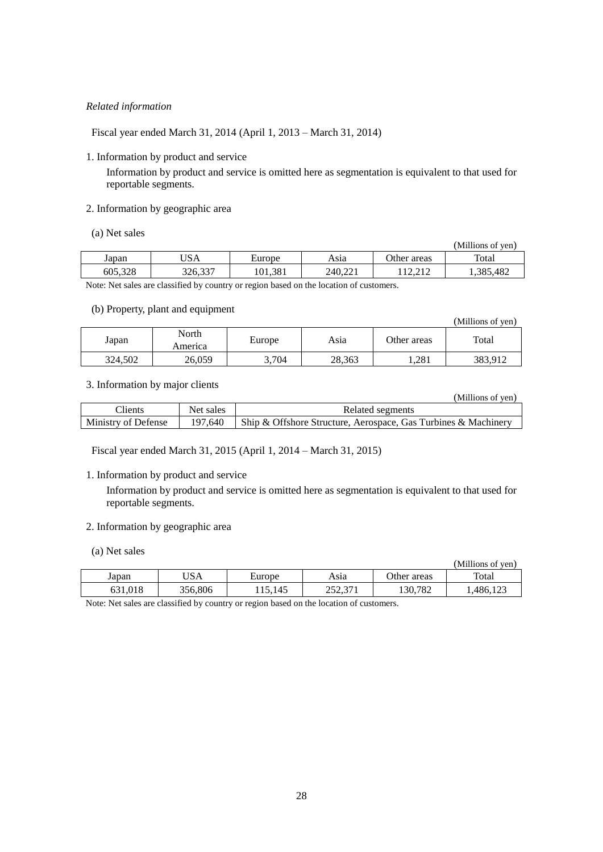# *Related information*

Fiscal year ended March 31, 2014 (April 1, 2013 – March 31, 2014)

1. Information by product and service

Information by product and service is omitted here as segmentation is equivalent to that used for reportable segments.

# 2. Information by geographic area

(a) Net sales

|         |         |         |         |                                      | (Millions of ven) |
|---------|---------|---------|---------|--------------------------------------|-------------------|
| Japan   | USA     | Europe  | Asıa    | Other areas                          | Total             |
| 605,328 | 326,337 | 101,381 | 240.221 | $1^{\circ}$<br>$\bigcap$ 1 $\bigcap$ | 1,385,482         |

Note: Net sales are classified by country or region based on the location of customers.

### (b) Property, plant and equipment

| $\mathcal{L} = \{ \mathcal{L} \mid \mathcal{L} \in \mathcal{L} \}$ , we define the contract of the contract of $\mathcal{L} = \{ \mathcal{L} \mid \mathcal{L} \in \mathcal{L} \}$ | (Millions of yen) |        |        |             |         |
|-----------------------------------------------------------------------------------------------------------------------------------------------------------------------------------|-------------------|--------|--------|-------------|---------|
| Japan                                                                                                                                                                             | North<br>America  | Europe | Asia   | Other areas | Total   |
| 324.502                                                                                                                                                                           | 26,059            | 3,704  | 28,363 | .281        | 383,912 |

# 3. Information by major clients

|                     |           | (Millions of yen)                                              |
|---------------------|-----------|----------------------------------------------------------------|
| Clients             | Net sales | Related segments                                               |
| Ministry of Defense | 197.640   | Ship & Offshore Structure, Aerospace, Gas Turbines & Machinery |

Fiscal year ended March 31, 2015 (April 1, 2014 – March 31, 2015)

### 1. Information by product and service

Information by product and service is omitted here as segmentation is equivalent to that used for reportable segments.

# 2. Information by geographic area

(a) Net sales

| $\mathbf{u}$ , $\mathbf{u}$ , $\mathbf{v}$ |         |         |                    |             | (Millions of yen) |
|--------------------------------------------|---------|---------|--------------------|-------------|-------------------|
| Japan                                      | JSA     | Europe  | Asia               | Other areas | Total             |
| 631.018                                    | 356,806 | 115.145 | 252.371<br>292.97T | 130,782     | .486,123          |

Note: Net sales are classified by country or region based on the location of customers.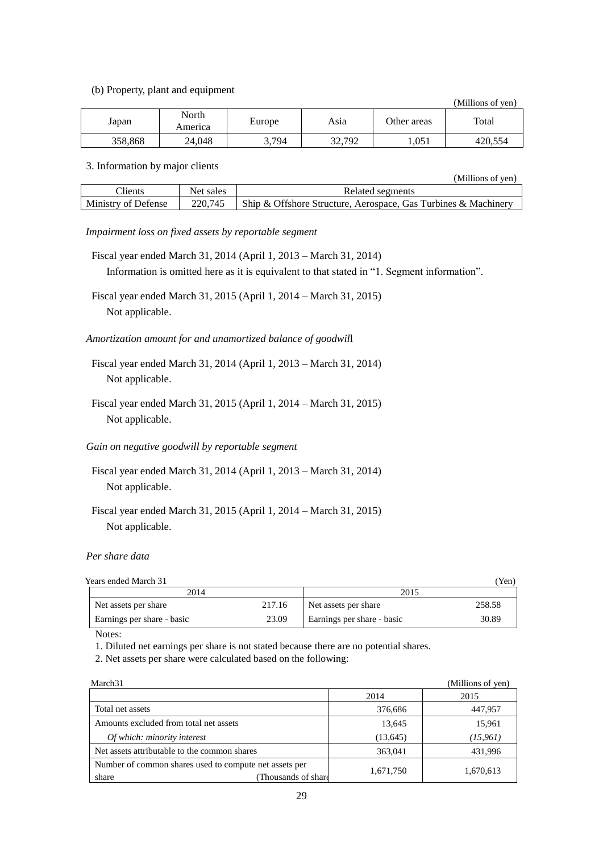(b) Property, plant and equipment

(Millions of yen)

(Millions of yen)

| Japan   | North<br>America | Europe | Asıa   | Other areas | Total   |
|---------|------------------|--------|--------|-------------|---------|
| 358,868 | 24,048           | 3,794  | 32,792 | 1,051       | 420,554 |

#### 3. Information by major clients

|                     |           | .<br>.                                                         |
|---------------------|-----------|----------------------------------------------------------------|
| Clients             | Net sales | Related segments                                               |
| Ministry of Defense | 220.745   | Ship & Offshore Structure, Aerospace, Gas Turbines & Machinery |

### *Impairment loss on fixed assets by reportable segment*

- Fiscal year ended March 31, 2014 (April 1, 2013 March 31, 2014) Information is omitted here as it is equivalent to that stated in "1. Segment information".
- Fiscal year ended March 31, 2015 (April 1, 2014 March 31, 2015) Not applicable.

# *Amortization amount for and unamortized balance of goodwil*l

- Fiscal year ended March 31, 2014 (April 1, 2013 March 31, 2014) Not applicable.
- Fiscal year ended March 31, 2015 (April 1, 2014 March 31, 2015) Not applicable.

## *Gain on negative goodwill by reportable segment*

- Fiscal year ended March 31, 2014 (April 1, 2013 March 31, 2014) Not applicable.
- Fiscal year ended March 31, 2015 (April 1, 2014 March 31, 2015) Not applicable.

#### *Per share data*

| Years ended March 31       |        |                            | Yen)   |
|----------------------------|--------|----------------------------|--------|
| 2014                       |        | 2015                       |        |
| Net assets per share       | 217.16 | Net assets per share       | 258.58 |
| Earnings per share - basic | 23.09  | Earnings per share - basic | 30.89  |

Notes:

1. Diluted net earnings per share is not stated because there are no potential shares.

2. Net assets per share were calculated based on the following:

| March <sub>31</sub>                                                                   |           | (Millions of yen) |
|---------------------------------------------------------------------------------------|-----------|-------------------|
|                                                                                       | 2014      | 2015              |
| Total net assets                                                                      | 376,686   | 447,957           |
| Amounts excluded from total net assets                                                | 13,645    | 15,961            |
| Of which: minority interest                                                           | (13, 645) | (15, 961)         |
| Net assets attributable to the common shares                                          | 363,041   | 431,996           |
| Number of common shares used to compute net assets per<br>Thousands of share<br>share | 1,671,750 | 1,670,613         |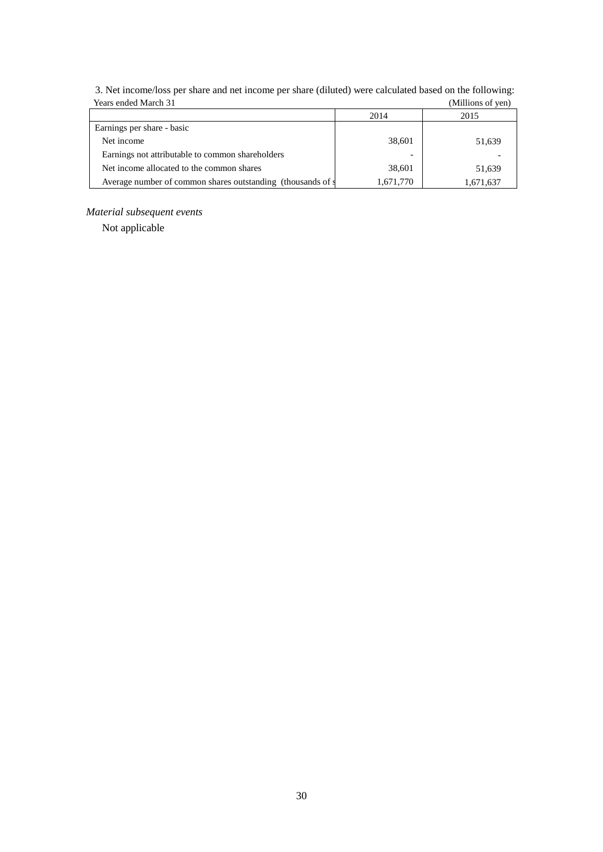| Teals ended March 31                                        |           | (IVIIIIIOIIS OI VEII <i>)</i> |
|-------------------------------------------------------------|-----------|-------------------------------|
|                                                             | 2014      | 2015                          |
| Earnings per share - basic                                  |           |                               |
| Net income                                                  | 38,601    | 51,639                        |
| Earnings not attributable to common shareholders            | -         |                               |
| Net income allocated to the common shares                   | 38,601    | 51,639                        |
| Average number of common shares outstanding (thousands of s | 1,671,770 | 1,671,637                     |

3. Net income/loss per share and net income per share (diluted) were calculated based on the following: Years ended March 31 (Millions of yen)

# *Material subsequent events*

Not applicable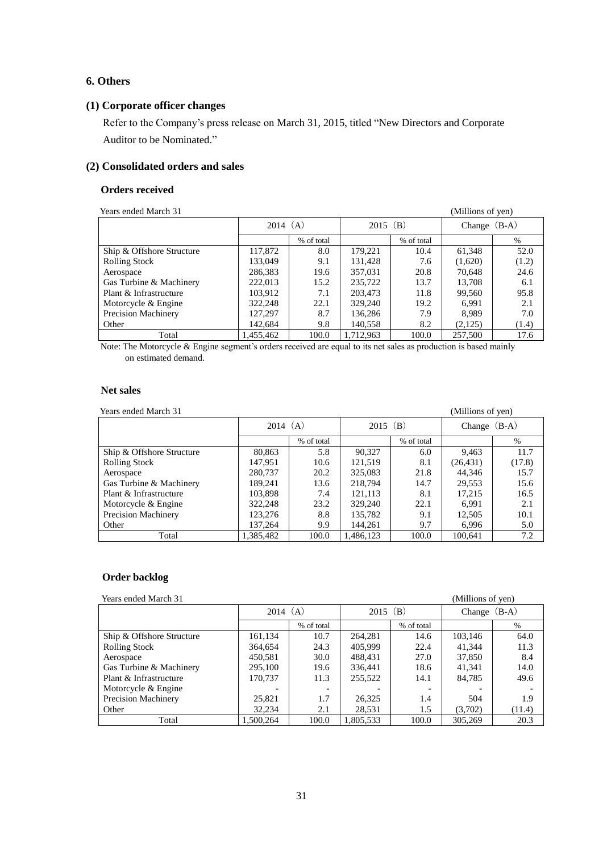# **6. Others**

# **(1) Corporate officer changes**

Refer to the Company's press release on March 31, 2015, titled "New Directors and Corporate Auditor to be Nominated."

# **(2) Consolidated orders and sales**

### **Orders received**

| Years ended March 31       |           |            |           |            | (Millions of yen) |       |
|----------------------------|-----------|------------|-----------|------------|-------------------|-------|
|                            |           | 2014 (A)   |           | 2015 (B)   | Change $(B-A)$    |       |
|                            |           | % of total |           | % of total |                   | $\%$  |
| Ship & Offshore Structure  | 117,872   | 8.0        | 179,221   | 10.4       | 61,348            | 52.0  |
| <b>Rolling Stock</b>       | 133,049   | 9.1        | 131,428   | 7.6        | (1,620)           | (1.2) |
| Aerospace                  | 286,383   | 19.6       | 357,031   | 20.8       | 70.648            | 24.6  |
| Gas Turbine & Machinery    | 222,013   | 15.2       | 235,722   | 13.7       | 13,708            | 6.1   |
| Plant & Infrastructure     | 103,912   | 7.1        | 203,473   | 11.8       | 99.560            | 95.8  |
| Motorcycle & Engine        | 322,248   | 22.1       | 329,240   | 19.2       | 6.991             | 2.1   |
| <b>Precision Machinery</b> | 127,297   | 8.7        | 136,286   | 7.9        | 8.989             | 7.0   |
| Other                      | 142.684   | 9.8        | 140,558   | 8.2        | (2,125)           | (1.4) |
| Total                      | 1,455,462 | 100.0      | 1,712,963 | 100.0      | 257,500           | 17.6  |

Note: The Motorcycle & Engine segment's orders received are equal to its net sales as production is based mainly on estimated demand.

## **Net sales**

Years ended March 31 (Millions of yen)

|                           | 2014 (A)  |            | $2015$ (B) |            | Change (B-A) |        |
|---------------------------|-----------|------------|------------|------------|--------------|--------|
|                           |           | % of total |            | % of total |              | $\%$   |
| Ship & Offshore Structure | 80,863    | 5.8        | 90.327     | 6.0        | 9,463        | 11.7   |
| <b>Rolling Stock</b>      | 147,951   | 10.6       | 121,519    | 8.1        | (26, 431)    | (17.8) |
| Aerospace                 | 280,737   | 20.2       | 325,083    | 21.8       | 44.346       | 15.7   |
| Gas Turbine & Machinery   | 189,241   | 13.6       | 218,794    | 14.7       | 29,553       | 15.6   |
| Plant & Infrastructure    | 103,898   | 7.4        | 121,113    | 8.1        | 17,215       | 16.5   |
| Motorcycle & Engine       | 322,248   | 23.2       | 329,240    | 22.1       | 6.991        | 2.1    |
| Precision Machinery       | 123,276   | 8.8        | 135,782    | 9.1        | 12,505       | 10.1   |
| Other                     | 137,264   | 9.9        | 144,261    | 9.7        | 6,996        | 5.0    |
| Total                     | 1.385.482 | 100.0      | 1.486.123  | 100.0      | 100.641      | 7.2    |

# **Order backlog**

**Pressure Sears ended March 31 (Millions of yen)** *Millions* of yen)

| rears enueu maren s'i     |           |                          |            |            |                   |        |
|---------------------------|-----------|--------------------------|------------|------------|-------------------|--------|
|                           | 2014(A)   |                          | $2015$ (B) |            | $(B-A)$<br>Change |        |
|                           |           | % of total               |            | % of total |                   | $\%$   |
| Ship & Offshore Structure | 161,134   | 10.7                     | 264.281    | 14.6       | 103.146           | 64.0   |
| <b>Rolling Stock</b>      | 364,654   | 24.3                     | 405,999    | 22.4       | 41.344            | 11.3   |
| Aerospace                 | 450.581   | 30.0                     | 488.431    | 27.0       | 37,850            | 8.4    |
| Gas Turbine & Machinery   | 295,100   | 19.6                     | 336,441    | 18.6       | 41.341            | 14.0   |
| Plant & Infrastructure    | 170.737   | 11.3                     | 255,522    | 14.1       | 84,785            | 49.6   |
| Motorcycle & Engine       |           | $\overline{\phantom{a}}$ |            |            |                   |        |
| Precision Machinery       | 25,821    | 1.7                      | 26,325     | 1.4        | 504               | 1.9    |
| Other                     | 32.234    | 2.1                      | 28,531     | 1.5        | (3,702)           | (11.4) |
| Total                     | 1.500.264 | 100.0                    | 1.805.533  | 100.0      | 305,269           | 20.3   |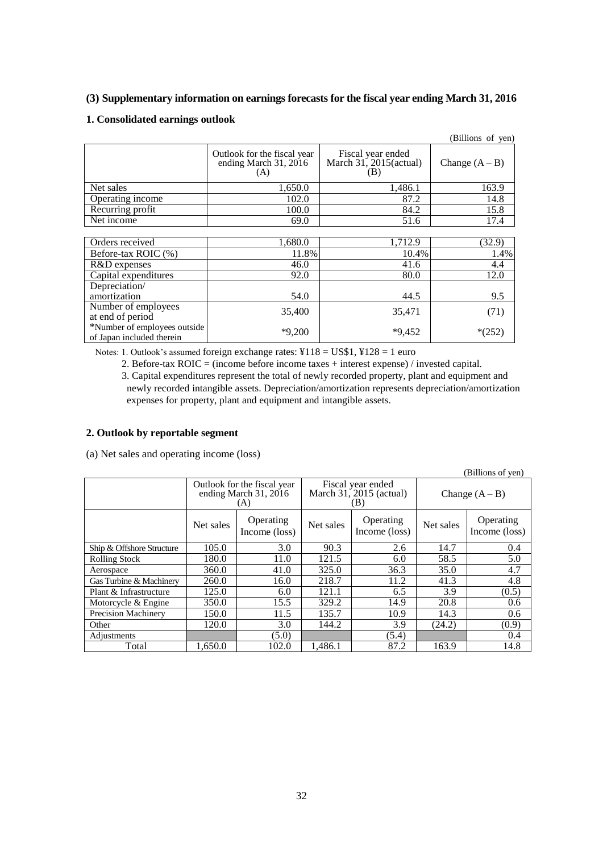# **(3) Supplementary information on earnings forecasts for the fiscal year ending March 31, 2016**

# **1. Consolidated earnings outlook**

|                                                           |                                                             |                                                     | (Billions of yen) |
|-----------------------------------------------------------|-------------------------------------------------------------|-----------------------------------------------------|-------------------|
|                                                           | Outlook for the fiscal year<br>ending March 31, 2016<br>(A) | Fiscal year ended<br>March 31, 2015 (actual)<br>(B) | Change $(A - B)$  |
| Net sales                                                 | 1,650.0                                                     | 1,486.1                                             | 163.9             |
| Operating income                                          | 102.0                                                       | 87.2                                                | 14.8              |
| Recurring profit                                          | 100.0                                                       | 84.2                                                | 15.8              |
| Net income                                                | 69.0                                                        | 51.6                                                | 17.4              |
|                                                           |                                                             |                                                     |                   |
| Orders received                                           | 1.680.0                                                     | 1.712.9                                             | (32.9)            |
| Before-tax ROIC (%)                                       | 11.8%                                                       | 10.4%                                               | 1.4%              |
| R&D expenses                                              | 46.0                                                        | 41.6                                                | 4.4               |
| Capital expenditures                                      | 92.0                                                        | 80.0                                                | 12.0              |
| Depreciation/                                             |                                                             |                                                     |                   |
| amortization                                              | 54.0                                                        | 44.5                                                | 9.5               |
| Number of employees<br>at end of period                   | 35,400                                                      | 35,471                                              | (71)              |
| *Number of employees outside<br>of Japan included therein | $*9,200$                                                    | $*9,452$                                            | $*(252)$          |

Notes: 1. Outlook's assumed foreign exchange rates:  $4118 = US$1, $4128 = 1$  euro

2. Before-tax ROIC = (income before income taxes + interest expense) / invested capital. 3. Capital expenditures represent the total of newly recorded property, plant and equipment and

newly recorded intangible assets. Depreciation/amortization represents depreciation/amortization expenses for property, plant and equipment and intangible assets.

# **2. Outlook by reportable segment**

(a) Net sales and operating income (loss)

|                            |                                                               |                            |           |                                                     |                  | Billions of yen)           |
|----------------------------|---------------------------------------------------------------|----------------------------|-----------|-----------------------------------------------------|------------------|----------------------------|
|                            | Outlook for the fiscal year<br>ending March $31, 2016$<br>(A) |                            |           | Fiscal year ended<br>March 31, 2015 (actual)<br>(B) | Change $(A - B)$ |                            |
|                            | Net sales                                                     | Operating<br>Income (loss) | Net sales | Operating<br>Income (loss)                          | Net sales        | Operating<br>Income (loss) |
| Ship & Offshore Structure  | 105.0                                                         | 3.0                        | 90.3      | 2.6                                                 | 14.7             | 0.4                        |
| <b>Rolling Stock</b>       | 180.0                                                         | 11.0                       | 121.5     | 6.0                                                 | 58.5             | 5.0                        |
| Aerospace                  | 360.0                                                         | 41.0                       | 325.0     | 36.3                                                | 35.0             | 4.7                        |
| Gas Turbine & Machinery    | 260.0                                                         | 16.0                       | 218.7     | 11.2                                                | 41.3             | 4.8                        |
| Plant & Infrastructure     | 125.0                                                         | 6.0                        | 121.1     | 6.5                                                 | 3.9              | (0.5)                      |
| Motorcycle & Engine        | 350.0                                                         | 15.5                       | 329.2     | 14.9                                                | 20.8             | 0.6                        |
| <b>Precision Machinery</b> | 150.0                                                         | 11.5                       | 135.7     | 10.9                                                | 14.3             | 0.6                        |
| Other                      | 120.0                                                         | 3.0                        | 144.2     | 3.9                                                 | (24.2)           | (0.9)                      |
| Adjustments                |                                                               | (5.0)                      |           | (5.4)                                               |                  | 0.4                        |
| Total                      | 1,650.0                                                       | 102.0                      | 1,486.1   | 87.2                                                | 163.9            | 14.8                       |

 $(D)$